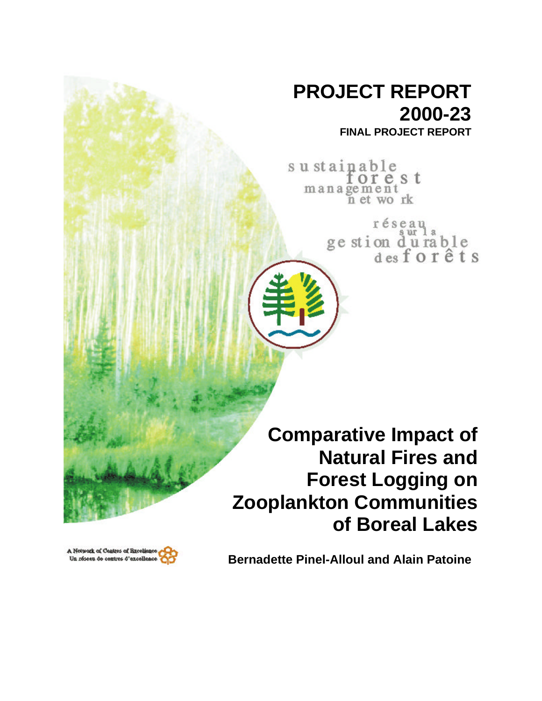# **PROJECT REPORT 2000-23**

**FINAL PROJECT REPORT**

su stainable orest management<br>n et work

> réseau ge stion du rable<br>desforêts

**Comparative Impact of Natural Fires and Forest Logging on Zooplankton Communities of Boreal Lakes**



**Bernadette Pinel-Alloul and Alain Patoine**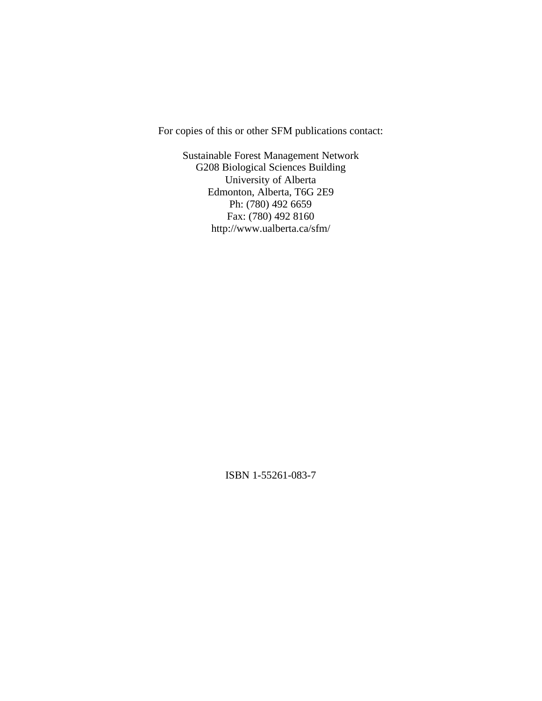For copies of this or other SFM publications contact:

Sustainable Forest Management Network G208 Biological Sciences Building University of Alberta Edmonton, Alberta, T6G 2E9 Ph: (780) 492 6659 Fax: (780) 492 8160 http://www.ualberta.ca/sfm/

ISBN 1-55261-083-7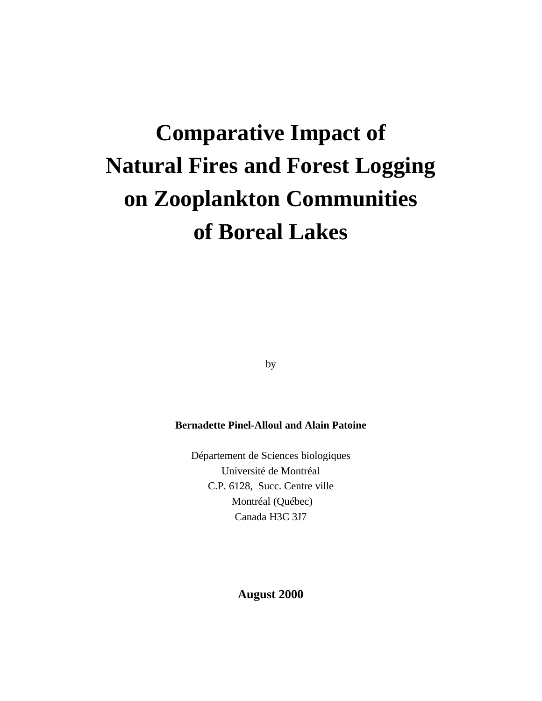# **Comparative Impact of Natural Fires and Forest Logging on Zooplankton Communities of Boreal Lakes**

by

# **Bernadette Pinel-Alloul and Alain Patoine**

Département de Sciences biologiques Université de Montréal C.P. 6128, Succ. Centre ville Montréal (Québec) Canada H3C 3J7

# **August 2000**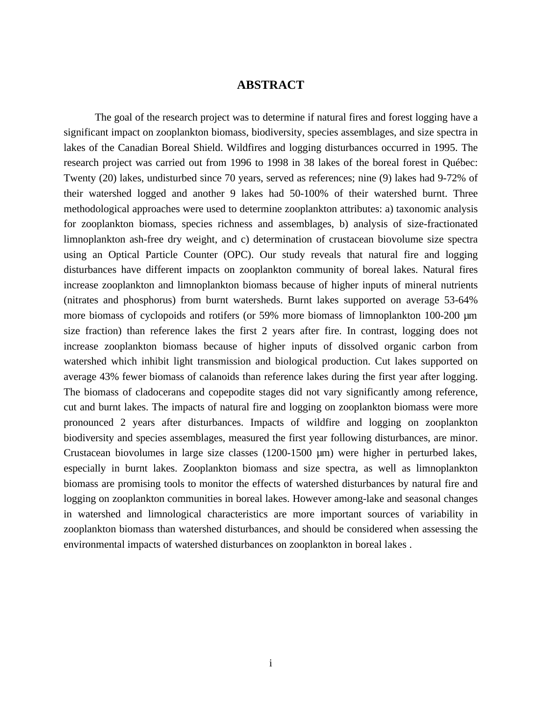# **ABSTRACT**

The goal of the research project was to determine if natural fires and forest logging have a significant impact on zooplankton biomass, biodiversity, species assemblages, and size spectra in lakes of the Canadian Boreal Shield. Wildfires and logging disturbances occurred in 1995. The research project was carried out from 1996 to 1998 in 38 lakes of the boreal forest in Québec: Twenty (20) lakes, undisturbed since 70 years, served as references; nine (9) lakes had 9-72% of their watershed logged and another 9 lakes had 50-100% of their watershed burnt. Three methodological approaches were used to determine zooplankton attributes: a) taxonomic analysis for zooplankton biomass, species richness and assemblages, b) analysis of size-fractionated limnoplankton ash-free dry weight, and c) determination of crustacean biovolume size spectra using an Optical Particle Counter (OPC). Our study reveals that natural fire and logging disturbances have different impacts on zooplankton community of boreal lakes. Natural fires increase zooplankton and limnoplankton biomass because of higher inputs of mineral nutrients (nitrates and phosphorus) from burnt watersheds. Burnt lakes supported on average 53-64% more biomass of cyclopoids and rotifers (or 59% more biomass of limnoplankton 100-200  $\mu$ m size fraction) than reference lakes the first 2 years after fire. In contrast, logging does not increase zooplankton biomass because of higher inputs of dissolved organic carbon from watershed which inhibit light transmission and biological production. Cut lakes supported on average 43% fewer biomass of calanoids than reference lakes during the first year after logging. The biomass of cladocerans and copepodite stages did not vary significantly among reference, cut and burnt lakes. The impacts of natural fire and logging on zooplankton biomass were more pronounced 2 years after disturbances. Impacts of wildfire and logging on zooplankton biodiversity and species assemblages, measured the first year following disturbances, are minor. Crustacean biovolumes in large size classes (1200-1500 µm) were higher in perturbed lakes, especially in burnt lakes. Zooplankton biomass and size spectra, as well as limnoplankton biomass are promising tools to monitor the effects of watershed disturbances by natural fire and logging on zooplankton communities in boreal lakes. However among-lake and seasonal changes in watershed and limnological characteristics are more important sources of variability in zooplankton biomass than watershed disturbances, and should be considered when assessing the environmental impacts of watershed disturbances on zooplankton in boreal lakes .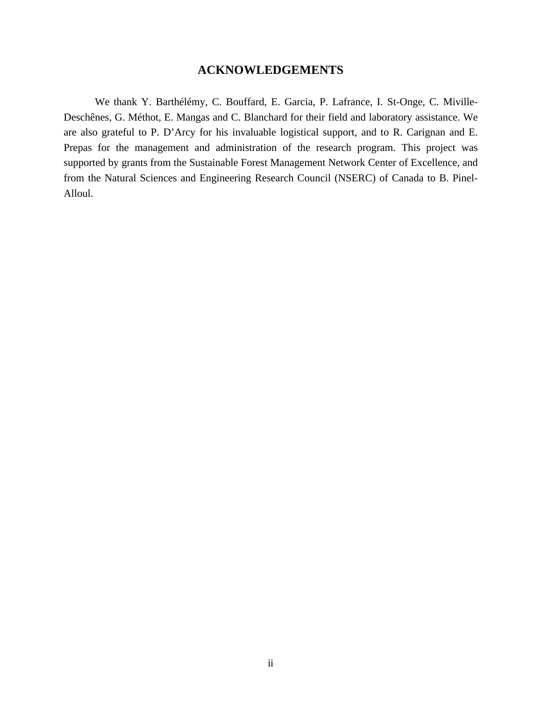# **ACKNOWLEDGEMENTS**

We thank Y. Barthélémy, C. Bouffard, E. Garcia, P. Lafrance, I. St-Onge, C. Miville-Deschênes, G. Méthot, E. Mangas and C. Blanchard for their field and laboratory assistance. We are also grateful to P. D'Arcy for his invaluable logistical support, and to R. Carignan and E. Prepas for the management and administration of the research program. This project was supported by grants from the Sustainable Forest Management Network Center of Excellence, and from the Natural Sciences and Engineering Research Council (NSERC) of Canada to B. Pinel-Alloul.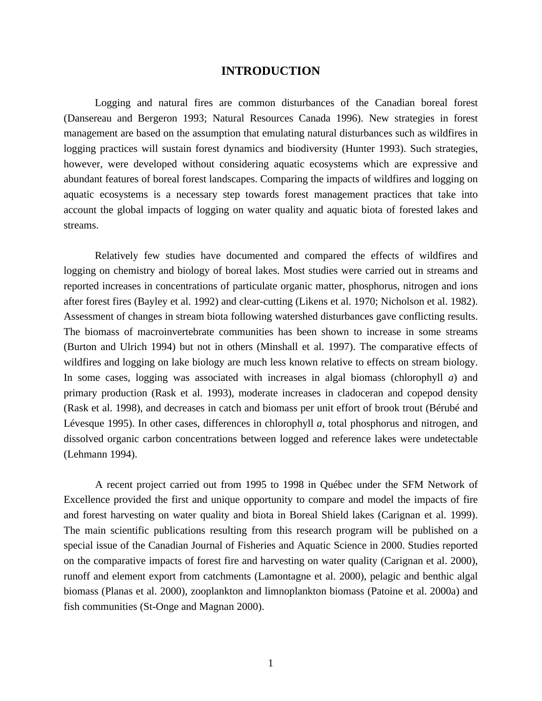# **INTRODUCTION**

Logging and natural fires are common disturbances of the Canadian boreal forest (Dansereau and Bergeron 1993; Natural Resources Canada 1996). New strategies in forest management are based on the assumption that emulating natural disturbances such as wildfires in logging practices will sustain forest dynamics and biodiversity (Hunter 1993). Such strategies, however, were developed without considering aquatic ecosystems which are expressive and abundant features of boreal forest landscapes. Comparing the impacts of wildfires and logging on aquatic ecosystems is a necessary step towards forest management practices that take into account the global impacts of logging on water quality and aquatic biota of forested lakes and streams.

Relatively few studies have documented and compared the effects of wildfires and logging on chemistry and biology of boreal lakes. Most studies were carried out in streams and reported increases in concentrations of particulate organic matter, phosphorus, nitrogen and ions after forest fires (Bayley et al. 1992) and clear-cutting (Likens et al. 1970; Nicholson et al. 1982). Assessment of changes in stream biota following watershed disturbances gave conflicting results. The biomass of macroinvertebrate communities has been shown to increase in some streams (Burton and Ulrich 1994) but not in others (Minshall et al. 1997). The comparative effects of wildfires and logging on lake biology are much less known relative to effects on stream biology. In some cases, logging was associated with increases in algal biomass (chlorophyll *a*) and primary production (Rask et al. 1993), moderate increases in cladoceran and copepod density (Rask et al. 1998), and decreases in catch and biomass per unit effort of brook trout (Bérubé and Lévesque 1995). In other cases, differences in chlorophyll *a*, total phosphorus and nitrogen, and dissolved organic carbon concentrations between logged and reference lakes were undetectable (Lehmann 1994).

A recent project carried out from 1995 to 1998 in Québec under the SFM Network of Excellence provided the first and unique opportunity to compare and model the impacts of fire and forest harvesting on water quality and biota in Boreal Shield lakes (Carignan et al. 1999). The main scientific publications resulting from this research program will be published on a special issue of the Canadian Journal of Fisheries and Aquatic Science in 2000. Studies reported on the comparative impacts of forest fire and harvesting on water quality (Carignan et al. 2000), runoff and element export from catchments (Lamontagne et al. 2000), pelagic and benthic algal biomass (Planas et al. 2000), zooplankton and limnoplankton biomass (Patoine et al. 2000a) and fish communities (St-Onge and Magnan 2000).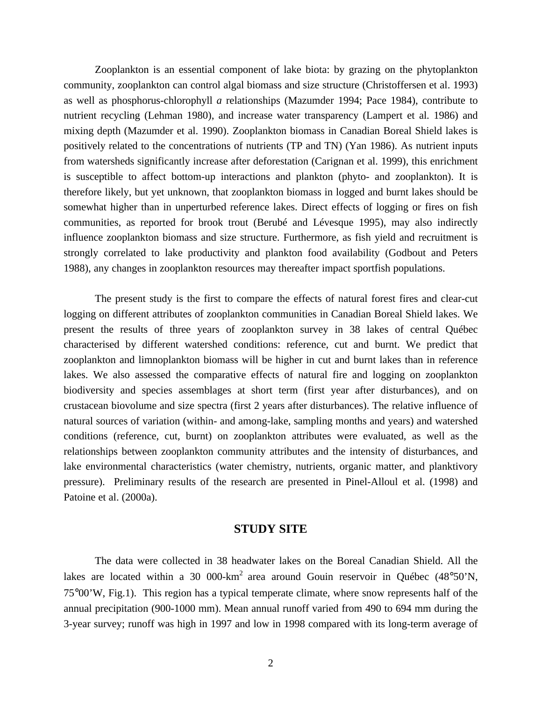Zooplankton is an essential component of lake biota: by grazing on the phytoplankton community, zooplankton can control algal biomass and size structure (Christoffersen et al. 1993) as well as phosphorus-chlorophyll *a* relationships (Mazumder 1994; Pace 1984), contribute to nutrient recycling (Lehman 1980), and increase water transparency (Lampert et al. 1986) and mixing depth (Mazumder et al. 1990). Zooplankton biomass in Canadian Boreal Shield lakes is positively related to the concentrations of nutrients (TP and TN) (Yan 1986). As nutrient inputs from watersheds significantly increase after deforestation (Carignan et al. 1999), this enrichment is susceptible to affect bottom-up interactions and plankton (phyto- and zooplankton). It is therefore likely, but yet unknown, that zooplankton biomass in logged and burnt lakes should be somewhat higher than in unperturbed reference lakes. Direct effects of logging or fires on fish communities, as reported for brook trout (Berubé and Lévesque 1995), may also indirectly influence zooplankton biomass and size structure. Furthermore, as fish yield and recruitment is strongly correlated to lake productivity and plankton food availability (Godbout and Peters 1988), any changes in zooplankton resources may thereafter impact sportfish populations.

The present study is the first to compare the effects of natural forest fires and clear-cut logging on different attributes of zooplankton communities in Canadian Boreal Shield lakes. We present the results of three years of zooplankton survey in 38 lakes of central Québec characterised by different watershed conditions: reference, cut and burnt. We predict that zooplankton and limnoplankton biomass will be higher in cut and burnt lakes than in reference lakes. We also assessed the comparative effects of natural fire and logging on zooplankton biodiversity and species assemblages at short term (first year after disturbances), and on crustacean biovolume and size spectra (first 2 years after disturbances). The relative influence of natural sources of variation (within- and among-lake, sampling months and years) and watershed conditions (reference, cut, burnt) on zooplankton attributes were evaluated, as well as the relationships between zooplankton community attributes and the intensity of disturbances, and lake environmental characteristics (water chemistry, nutrients, organic matter, and planktivory pressure). Preliminary results of the research are presented in Pinel-Alloul et al. (1998) and Patoine et al. (2000a).

# **STUDY SITE**

The data were collected in 38 headwater lakes on the Boreal Canadian Shield. All the lakes are located within a 30 000-km<sup>2</sup> area around Gouin reservoir in Québec (48°50'N, 75°00'W, Fig.1). This region has a typical temperate climate, where snow represents half of the annual precipitation (900-1000 mm). Mean annual runoff varied from 490 to 694 mm during the 3-year survey; runoff was high in 1997 and low in 1998 compared with its long-term average of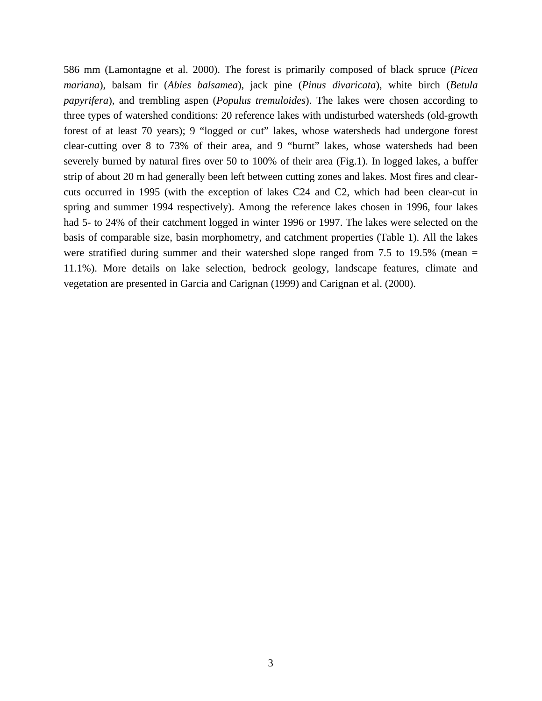586 mm (Lamontagne et al. 2000). The forest is primarily composed of black spruce (*Picea mariana*), balsam fir (*Abies balsamea*), jack pine (*Pinus divaricata*), white birch (*Betula papyrifera*), and trembling aspen (*Populus tremuloides*). The lakes were chosen according to three types of watershed conditions: 20 reference lakes with undisturbed watersheds (old-growth forest of at least 70 years); 9 "logged or cut" lakes, whose watersheds had undergone forest clear-cutting over 8 to 73% of their area, and 9 "burnt" lakes, whose watersheds had been severely burned by natural fires over 50 to 100% of their area (Fig.1). In logged lakes, a buffer strip of about 20 m had generally been left between cutting zones and lakes. Most fires and clearcuts occurred in 1995 (with the exception of lakes C24 and C2, which had been clear-cut in spring and summer 1994 respectively). Among the reference lakes chosen in 1996, four lakes had 5- to 24% of their catchment logged in winter 1996 or 1997. The lakes were selected on the basis of comparable size, basin morphometry, and catchment properties (Table 1). All the lakes were stratified during summer and their watershed slope ranged from 7.5 to 19.5% (mean = 11.1%). More details on lake selection, bedrock geology, landscape features, climate and vegetation are presented in Garcia and Carignan (1999) and Carignan et al. (2000).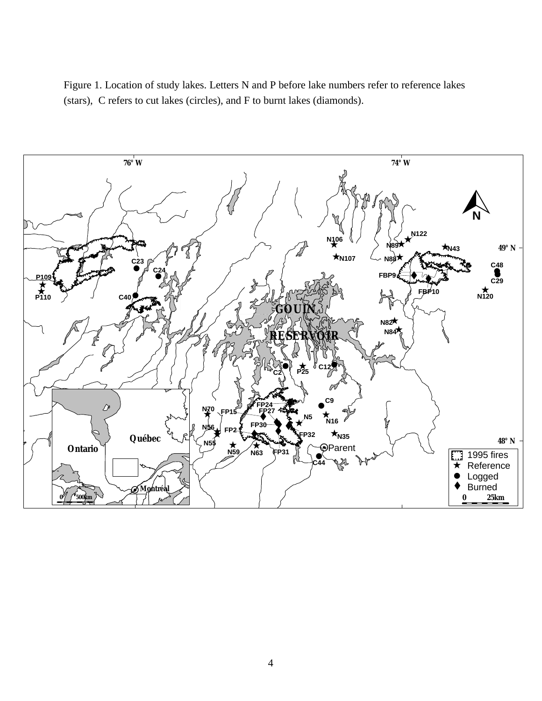Figure 1. Location of study lakes. Letters N and P before lake numbers refer to reference lakes (stars), C refers to cut lakes (circles), and F to burnt lakes (diamonds).

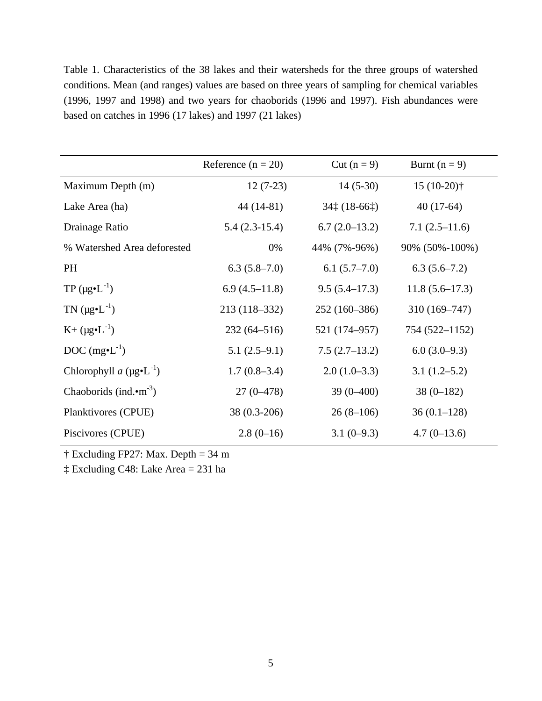Table 1. Characteristics of the 38 lakes and their watersheds for the three groups of watershed conditions. Mean (and ranges) values are based on three years of sampling for chemical variables (1996, 1997 and 1998) and two years for chaoborids (1996 and 1997). Fish abundances were based on catches in 1996 (17 lakes) and 1997 (21 lakes)

|                                            | Reference $(n = 20)$ | Cut $(n=9)$                 | Burnt $(n = 9)$  |
|--------------------------------------------|----------------------|-----------------------------|------------------|
| Maximum Depth (m)                          | $12(7-23)$           | $14(5-30)$                  | $15(10-20)$ †    |
| Lake Area (ha)                             | $44(14-81)$          | $34\ddagger(18-66\ddagger)$ | $40(17-64)$      |
| Drainage Ratio                             | $5.4(2.3-15.4)$      | $6.7(2.0-13.2)$             | $7.1(2.5-11.6)$  |
| % Watershed Area deforested                | 0%                   | 44% (7%-96%)                | 90% (50%-100%)   |
| <b>PH</b>                                  | $6.3(5.8-7.0)$       | $6.1(5.7-7.0)$              | $6.3(5.6-7.2)$   |
| $TP (\mu g \cdot L^{-1})$                  | $6.9(4.5-11.8)$      | $9.5(5.4-17.3)$             | $11.8(5.6-17.3)$ |
| TN $(\mu g \cdot L^{-1})$                  | 213 (118-332)        | 252 (160-386)               | $310(169 - 747)$ |
| $K+ (\mu g \cdot L^{-1})$                  | $232(64 - 516)$      | 521 (174–957)               | 754 (522-1152)   |
| DOC $(mg\bullet L^{-1})$                   | $5.1(2.5-9.1)$       | $7.5(2.7-13.2)$             | $6.0(3.0-9.3)$   |
| Chlorophyll a $(\mu g \cdot L^{-1})$       | $1.7(0.8-3.4)$       | $2.0(1.0-3.3)$              | $3.1(1.2-5.2)$   |
| Chaoborids (ind. $\cdot$ m <sup>-3</sup> ) | $27(0-478)$          | $39(0-400)$                 | $38(0-182)$      |
| Planktivores (CPUE)                        | 38 (0.3-206)         | $26(8-106)$                 | $36(0.1-128)$    |
| Piscivores (CPUE)                          | $2.8(0-16)$          | $3.1(0-9.3)$                | $4.7(0-13.6)$    |

† Excluding FP27: Max. Depth = 34 m

‡ Excluding C48: Lake Area = 231 ha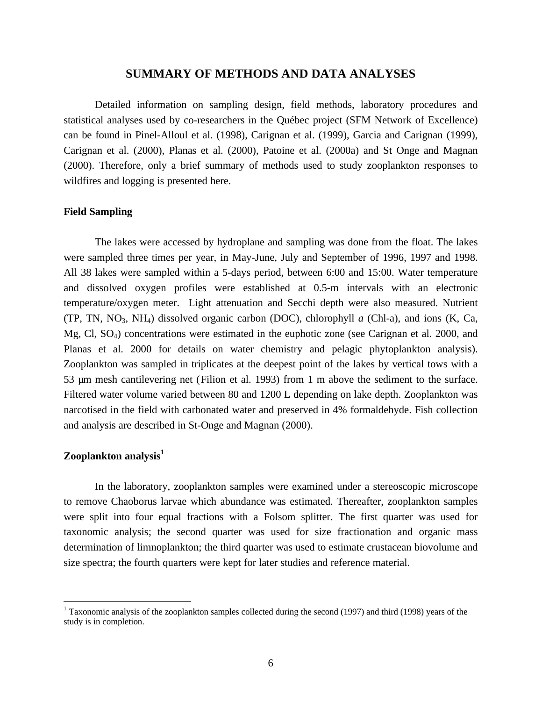# **SUMMARY OF METHODS AND DATA ANALYSES**

Detailed information on sampling design, field methods, laboratory procedures and statistical analyses used by co-researchers in the Québec project (SFM Network of Excellence) can be found in Pinel-Alloul et al. (1998), Carignan et al. (1999), Garcia and Carignan (1999), Carignan et al. (2000), Planas et al. (2000), Patoine et al. (2000a) and St Onge and Magnan (2000). Therefore, only a brief summary of methods used to study zooplankton responses to wildfires and logging is presented here.

#### **Field Sampling**

The lakes were accessed by hydroplane and sampling was done from the float. The lakes were sampled three times per year, in May-June, July and September of 1996, 1997 and 1998. All 38 lakes were sampled within a 5-days period, between 6:00 and 15:00. Water temperature and dissolved oxygen profiles were established at 0.5-m intervals with an electronic temperature/oxygen meter. Light attenuation and Secchi depth were also measured. Nutrient (TP, TN, NO3, NH4) dissolved organic carbon (DOC), chlorophyll *a* (Chl-a), and ions (K, Ca, Mg, Cl, SO4) concentrations were estimated in the euphotic zone (see Carignan et al. 2000, and Planas et al. 2000 for details on water chemistry and pelagic phytoplankton analysis). Zooplankton was sampled in triplicates at the deepest point of the lakes by vertical tows with a 53 µm mesh cantilevering net (Filion et al. 1993) from 1 m above the sediment to the surface. Filtered water volume varied between 80 and 1200 L depending on lake depth. Zooplankton was narcotised in the field with carbonated water and preserved in 4% formaldehyde. Fish collection and analysis are described in St-Onge and Magnan (2000).

# **Zooplankton analysis<sup>1</sup>**

-

In the laboratory, zooplankton samples were examined under a stereoscopic microscope to remove Chaoborus larvae which abundance was estimated. Thereafter, zooplankton samples were split into four equal fractions with a Folsom splitter. The first quarter was used for taxonomic analysis; the second quarter was used for size fractionation and organic mass determination of limnoplankton; the third quarter was used to estimate crustacean biovolume and size spectra; the fourth quarters were kept for later studies and reference material.

<sup>&</sup>lt;sup>1</sup> Taxonomic analysis of the zooplankton samples collected during the second (1997) and third (1998) years of the study is in completion.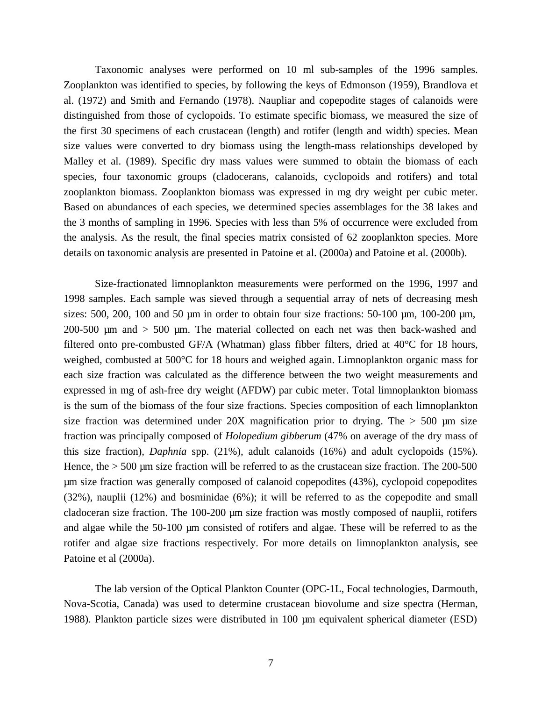Taxonomic analyses were performed on 10 ml sub-samples of the 1996 samples. Zooplankton was identified to species, by following the keys of Edmonson (1959), Brandlova et al. (1972) and Smith and Fernando (1978). Naupliar and copepodite stages of calanoids were distinguished from those of cyclopoids. To estimate specific biomass, we measured the size of the first 30 specimens of each crustacean (length) and rotifer (length and width) species. Mean size values were converted to dry biomass using the length-mass relationships developed by Malley et al. (1989). Specific dry mass values were summed to obtain the biomass of each species, four taxonomic groups (cladocerans, calanoids, cyclopoids and rotifers) and total zooplankton biomass. Zooplankton biomass was expressed in mg dry weight per cubic meter. Based on abundances of each species, we determined species assemblages for the 38 lakes and the 3 months of sampling in 1996. Species with less than 5% of occurrence were excluded from the analysis. As the result, the final species matrix consisted of 62 zooplankton species. More details on taxonomic analysis are presented in Patoine et al. (2000a) and Patoine et al. (2000b).

Size-fractionated limnoplankton measurements were performed on the 1996, 1997 and 1998 samples. Each sample was sieved through a sequential array of nets of decreasing mesh sizes: 500, 200, 100 and 50  $\mu$ m in order to obtain four size fractions: 50-100  $\mu$ m, 100-200  $\mu$ m, 200-500 µm and > 500 µm. The material collected on each net was then back-washed and filtered onto pre-combusted GF/A (Whatman) glass fibber filters, dried at 40°C for 18 hours, weighed, combusted at 500°C for 18 hours and weighed again. Limnoplankton organic mass for each size fraction was calculated as the difference between the two weight measurements and expressed in mg of ash-free dry weight (AFDW) par cubic meter. Total limnoplankton biomass is the sum of the biomass of the four size fractions. Species composition of each limnoplankton size fraction was determined under  $20X$  magnification prior to drying. The  $> 500$  µm size fraction was principally composed of *Holopedium gibberum* (47% on average of the dry mass of this size fraction), *Daphnia* spp. (21%), adult calanoids (16%) and adult cyclopoids (15%). Hence, the  $> 500$  µm size fraction will be referred to as the crustacean size fraction. The 200-500 µm size fraction was generally composed of calanoid copepodites (43%), cyclopoid copepodites (32%), nauplii (12%) and bosminidae (6%); it will be referred to as the copepodite and small cladoceran size fraction. The 100-200 µm size fraction was mostly composed of nauplii, rotifers and algae while the 50-100 µm consisted of rotifers and algae. These will be referred to as the rotifer and algae size fractions respectively. For more details on limnoplankton analysis, see Patoine et al (2000a).

The lab version of the Optical Plankton Counter (OPC-1L, Focal technologies, Darmouth, Nova-Scotia, Canada) was used to determine crustacean biovolume and size spectra (Herman, 1988). Plankton particle sizes were distributed in 100 µm equivalent spherical diameter (ESD)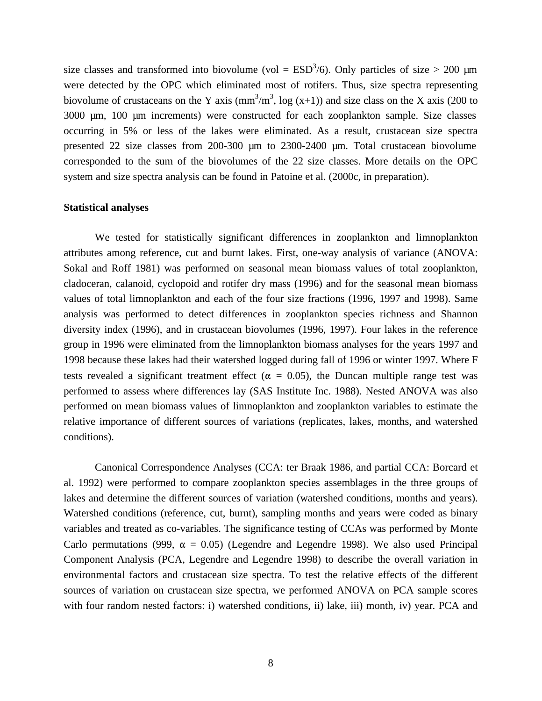size classes and transformed into biovolume (vol =  $ESD<sup>3</sup>/6$ ). Only particles of size > 200 µm were detected by the OPC which eliminated most of rotifers. Thus, size spectra representing biovolume of crustaceans on the Y axis  $\text{(mm}^3/\text{m}^3, \text{log } (x+1)$ ) and size class on the X axis (200 to 3000 µm, 100 µm increments) were constructed for each zooplankton sample. Size classes occurring in 5% or less of the lakes were eliminated. As a result, crustacean size spectra presented 22 size classes from 200-300 µm to 2300-2400 µm. Total crustacean biovolume corresponded to the sum of the biovolumes of the 22 size classes. More details on the OPC system and size spectra analysis can be found in Patoine et al. (2000c, in preparation).

#### **Statistical analyses**

We tested for statistically significant differences in zooplankton and limnoplankton attributes among reference, cut and burnt lakes. First, one-way analysis of variance (ANOVA: Sokal and Roff 1981) was performed on seasonal mean biomass values of total zooplankton, cladoceran, calanoid, cyclopoid and rotifer dry mass (1996) and for the seasonal mean biomass values of total limnoplankton and each of the four size fractions (1996, 1997 and 1998). Same analysis was performed to detect differences in zooplankton species richness and Shannon diversity index (1996), and in crustacean biovolumes (1996, 1997). Four lakes in the reference group in 1996 were eliminated from the limnoplankton biomass analyses for the years 1997 and 1998 because these lakes had their watershed logged during fall of 1996 or winter 1997. Where F tests revealed a significant treatment effect ( $\alpha = 0.05$ ), the Duncan multiple range test was performed to assess where differences lay (SAS Institute Inc. 1988). Nested ANOVA was also performed on mean biomass values of limnoplankton and zooplankton variables to estimate the relative importance of different sources of variations (replicates, lakes, months, and watershed conditions).

Canonical Correspondence Analyses (CCA: ter Braak 1986, and partial CCA: Borcard et al. 1992) were performed to compare zooplankton species assemblages in the three groups of lakes and determine the different sources of variation (watershed conditions, months and years). Watershed conditions (reference, cut, burnt), sampling months and years were coded as binary variables and treated as co-variables. The significance testing of CCAs was performed by Monte Carlo permutations (999,  $\alpha = 0.05$ ) (Legendre and Legendre 1998). We also used Principal Component Analysis (PCA, Legendre and Legendre 1998) to describe the overall variation in environmental factors and crustacean size spectra. To test the relative effects of the different sources of variation on crustacean size spectra, we performed ANOVA on PCA sample scores with four random nested factors: i) watershed conditions, ii) lake, iii) month, iv) year. PCA and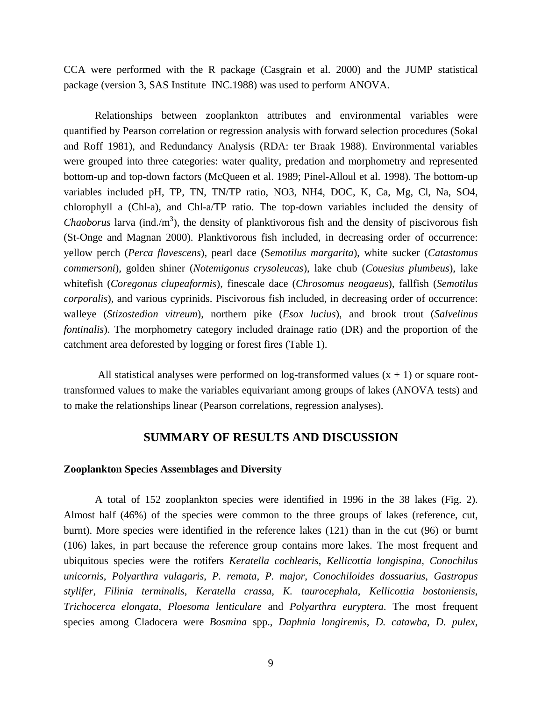CCA were performed with the R package (Casgrain et al. 2000) and the JUMP statistical package (version 3, SAS Institute INC.1988) was used to perform ANOVA.

Relationships between zooplankton attributes and environmental variables were quantified by Pearson correlation or regression analysis with forward selection procedures (Sokal and Roff 1981), and Redundancy Analysis (RDA: ter Braak 1988). Environmental variables were grouped into three categories: water quality, predation and morphometry and represented bottom-up and top-down factors (McQueen et al. 1989; Pinel-Alloul et al. 1998). The bottom-up variables included pH, TP, TN, TN/TP ratio, NO3, NH4, DOC, K, Ca, Mg, Cl, Na, SO4, chlorophyll a (Chl-a), and Chl-a/TP ratio. The top-down variables included the density of *Chaoborus* larva (ind./m<sup>3</sup>), the density of planktivorous fish and the density of piscivorous fish (St-Onge and Magnan 2000). Planktivorous fish included, in decreasing order of occurrence: yellow perch (*Perca flavescens*), pearl dace (S*emotilus margarita*), white sucker (*Catastomus commersoni*), golden shiner (*Notemigonus crysoleucas*), lake chub (*Couesius plumbeus*), lake whitefish (*Coregonus clupeaformis*), finescale dace (*Chrosomus neogaeus*), fallfish (*Semotilus corporalis*), and various cyprinids. Piscivorous fish included, in decreasing order of occurrence: walleye (*Stizostedion vitreum*), northern pike (*Esox lucius*), and brook trout (*Salvelinus fontinalis*). The morphometry category included drainage ratio (DR) and the proportion of the catchment area deforested by logging or forest fires (Table 1).

All statistical analyses were performed on log-transformed values  $(x + 1)$  or square roottransformed values to make the variables equivariant among groups of lakes (ANOVA tests) and to make the relationships linear (Pearson correlations, regression analyses).

# **SUMMARY OF RESULTS AND DISCUSSION**

#### **Zooplankton Species Assemblages and Diversity**

A total of 152 zooplankton species were identified in 1996 in the 38 lakes (Fig. 2). Almost half (46%) of the species were common to the three groups of lakes (reference, cut, burnt). More species were identified in the reference lakes (121) than in the cut (96) or burnt (106) lakes, in part because the reference group contains more lakes. The most frequent and ubiquitous species were the rotifers *Keratella cochlearis*, *Kellicottia longispina*, *Conochilus unicornis*, *Polyarthra vulagaris*, *P. remata*, *P. major*, *Conochiloides dossuarius*, *Gastropus stylifer*, *Filinia terminalis*, *Keratella crassa*, *K. taurocephala*, *Kellicottia bostoniensis*, *Trichocerca elongata*, *Ploesoma lenticulare* and *Polyarthra euryptera*. The most frequent species among Cladocera were *Bosmina* spp., *Daphnia longiremis*, *D. catawba*, *D. pulex*,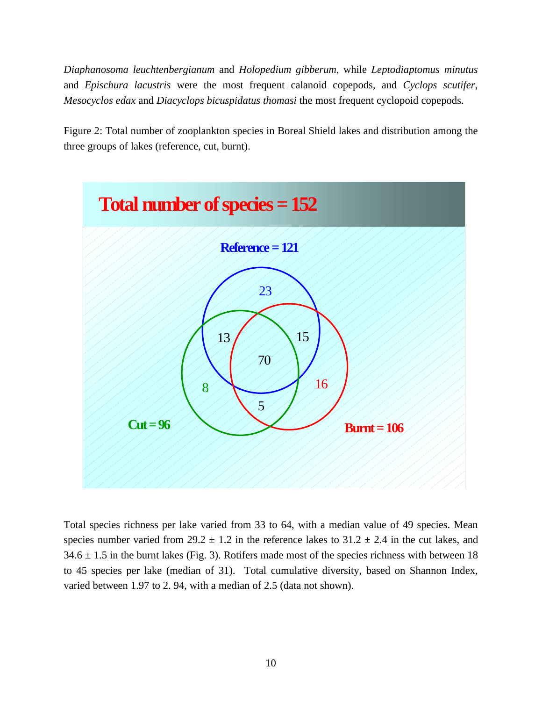*Diaphanosoma leuchtenbergianum* and *Holopedium gibberum*, while *Leptodiaptomus minutus* and *Epischura lacustris* were the most frequent calanoid copepods, and *Cyclops scutifer*, *Mesocyclos edax* and *Diacyclops bicuspidatus thomasi* the most frequent cyclopoid copepods.

Figure 2: Total number of zooplankton species in Boreal Shield lakes and distribution among the three groups of lakes (reference, cut, burnt).



Total species richness per lake varied from 33 to 64, with a median value of 49 species. Mean species number varied from  $29.2 \pm 1.2$  in the reference lakes to  $31.2 \pm 2.4$  in the cut lakes, and  $34.6 \pm 1.5$  in the burnt lakes (Fig. 3). Rotifers made most of the species richness with between 18 to 45 species per lake (median of 31). Total cumulative diversity, based on Shannon Index, varied between 1.97 to 2. 94, with a median of 2.5 (data not shown).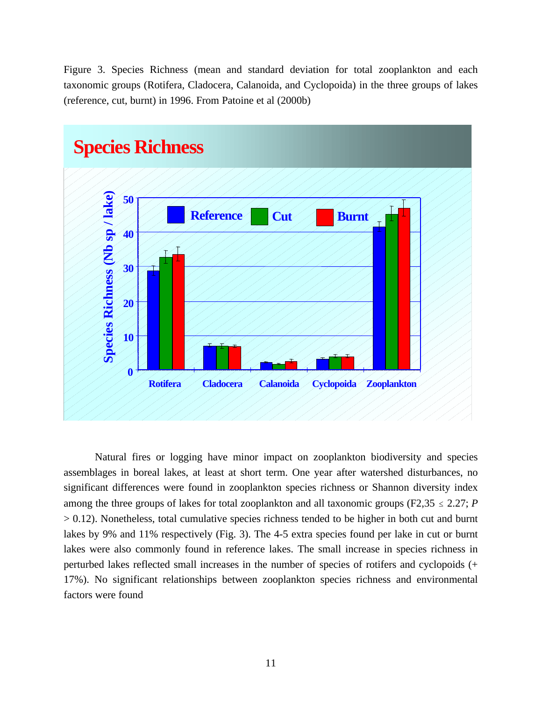Figure 3. Species Richness (mean and standard deviation for total zooplankton and each taxonomic groups (Rotifera, Cladocera, Calanoida, and Cyclopoida) in the three groups of lakes (reference, cut, burnt) in 1996. From Patoine et al (2000b)



Natural fires or logging have minor impact on zooplankton biodiversity and species assemblages in boreal lakes, at least at short term. One year after watershed disturbances, no significant differences were found in zooplankton species richness or Shannon diversity index among the three groups of lakes for total zooplankton and all taxonomic groups ( $F2,35 \le 2.27$ ; *P*  $> 0.12$ ). Nonetheless, total cumulative species richness tended to be higher in both cut and burnt lakes by 9% and 11% respectively (Fig. 3). The 4-5 extra species found per lake in cut or burnt lakes were also commonly found in reference lakes. The small increase in species richness in perturbed lakes reflected small increases in the number of species of rotifers and cyclopoids (+ 17%). No significant relationships between zooplankton species richness and environmental factors were found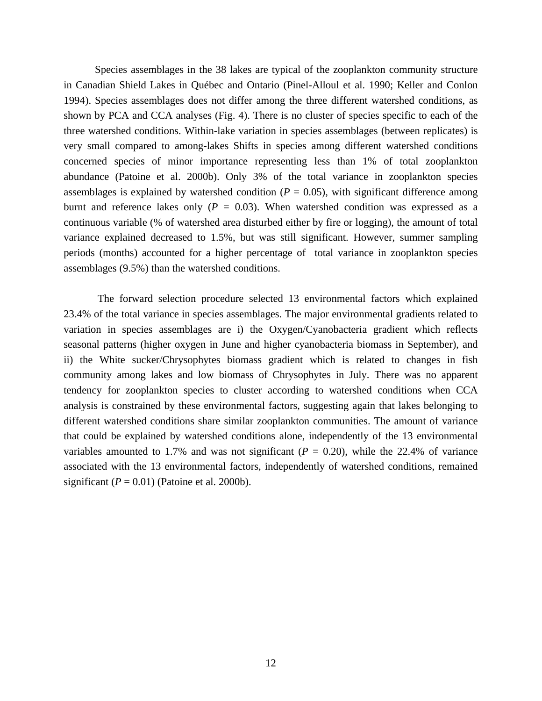Species assemblages in the 38 lakes are typical of the zooplankton community structure in Canadian Shield Lakes in Québec and Ontario (Pinel-Alloul et al. 1990; Keller and Conlon 1994). Species assemblages does not differ among the three different watershed conditions, as shown by PCA and CCA analyses (Fig. 4). There is no cluster of species specific to each of the three watershed conditions. Within-lake variation in species assemblages (between replicates) is very small compared to among-lakes Shifts in species among different watershed conditions concerned species of minor importance representing less than 1% of total zooplankton abundance (Patoine et al. 2000b). Only 3% of the total variance in zooplankton species assemblages is explained by watershed condition  $(P = 0.05)$ , with significant difference among burnt and reference lakes only  $(P = 0.03)$ . When watershed condition was expressed as a continuous variable (% of watershed area disturbed either by fire or logging), the amount of total variance explained decreased to 1.5%, but was still significant. However, summer sampling periods (months) accounted for a higher percentage of total variance in zooplankton species assemblages (9.5%) than the watershed conditions.

 The forward selection procedure selected 13 environmental factors which explained 23.4% of the total variance in species assemblages. The major environmental gradients related to variation in species assemblages are i) the Oxygen/Cyanobacteria gradient which reflects seasonal patterns (higher oxygen in June and higher cyanobacteria biomass in September), and ii) the White sucker/Chrysophytes biomass gradient which is related to changes in fish community among lakes and low biomass of Chrysophytes in July. There was no apparent tendency for zooplankton species to cluster according to watershed conditions when CCA analysis is constrained by these environmental factors, suggesting again that lakes belonging to different watershed conditions share similar zooplankton communities. The amount of variance that could be explained by watershed conditions alone, independently of the 13 environmental variables amounted to 1.7% and was not significant  $(P = 0.20)$ , while the 22.4% of variance associated with the 13 environmental factors, independently of watershed conditions, remained significant  $(P = 0.01)$  (Patoine et al. 2000b).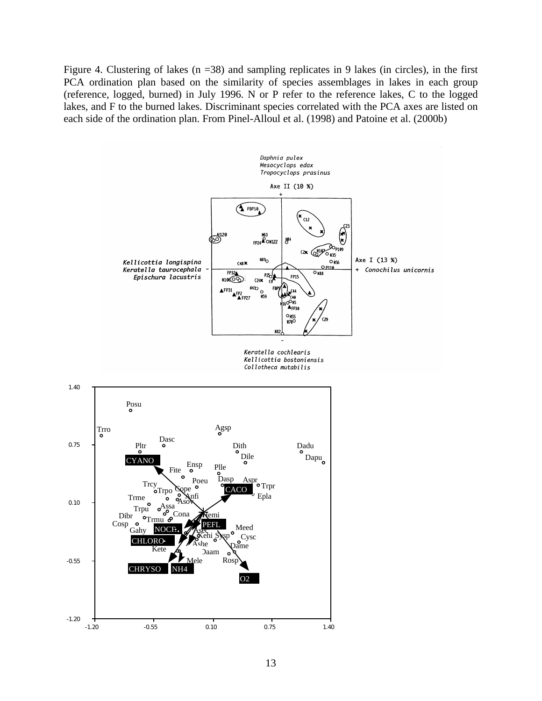Figure 4. Clustering of lakes ( $n = 38$ ) and sampling replicates in 9 lakes (in circles), in the first PCA ordination plan based on the similarity of species assemblages in lakes in each group (reference, logged, burned) in July 1996. N or P refer to the reference lakes, C to the logged lakes, and F to the burned lakes. Discriminant species correlated with the PCA axes are listed on each side of the ordination plan. From Pinel-Alloul et al. (1998) and Patoine et al. (2000b)

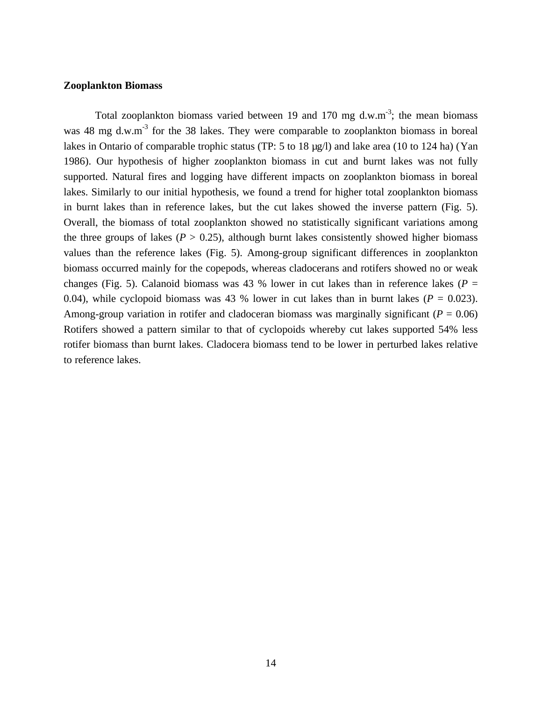#### **Zooplankton Biomass**

Total zooplankton biomass varied between 19 and 170 mg d.w.m<sup>-3</sup>; the mean biomass was 48 mg d.w.m<sup>-3</sup> for the 38 lakes. They were comparable to zooplankton biomass in boreal lakes in Ontario of comparable trophic status (TP: 5 to 18 µg/l) and lake area (10 to 124 ha) (Yan 1986). Our hypothesis of higher zooplankton biomass in cut and burnt lakes was not fully supported. Natural fires and logging have different impacts on zooplankton biomass in boreal lakes. Similarly to our initial hypothesis, we found a trend for higher total zooplankton biomass in burnt lakes than in reference lakes, but the cut lakes showed the inverse pattern (Fig. 5). Overall, the biomass of total zooplankton showed no statistically significant variations among the three groups of lakes  $(P > 0.25)$ , although burnt lakes consistently showed higher biomass values than the reference lakes (Fig. 5). Among-group significant differences in zooplankton biomass occurred mainly for the copepods, whereas cladocerans and rotifers showed no or weak changes (Fig. 5). Calanoid biomass was 43 % lower in cut lakes than in reference lakes ( $P =$ 0.04), while cyclopoid biomass was 43 % lower in cut lakes than in burnt lakes ( $P = 0.023$ ). Among-group variation in rotifer and cladoceran biomass was marginally significant ( $P = 0.06$ ) Rotifers showed a pattern similar to that of cyclopoids whereby cut lakes supported 54% less rotifer biomass than burnt lakes. Cladocera biomass tend to be lower in perturbed lakes relative to reference lakes.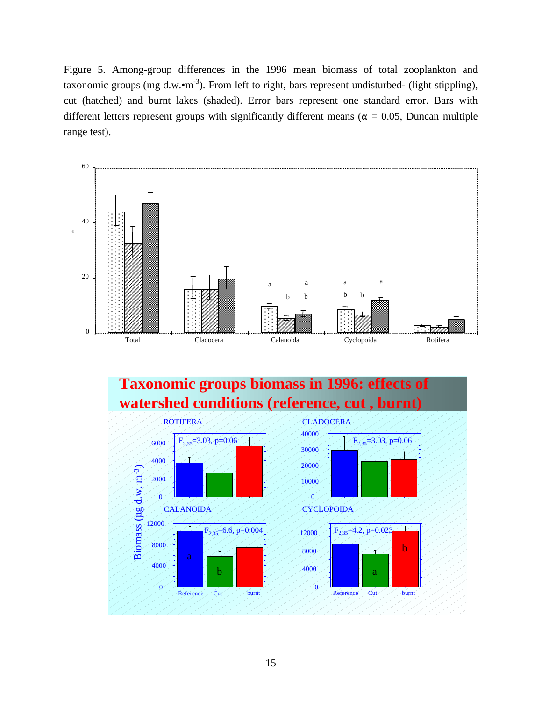Figure 5. Among-group differences in the 1996 mean biomass of total zooplankton and taxonomic groups (mg d.w. $\cdot$ m<sup>-3</sup>). From left to right, bars represent undisturbed- (light stippling), cut (hatched) and burnt lakes (shaded). Error bars represent one standard error. Bars with different letters represent groups with significantly different means ( $\alpha = 0.05$ , Duncan multiple range test).





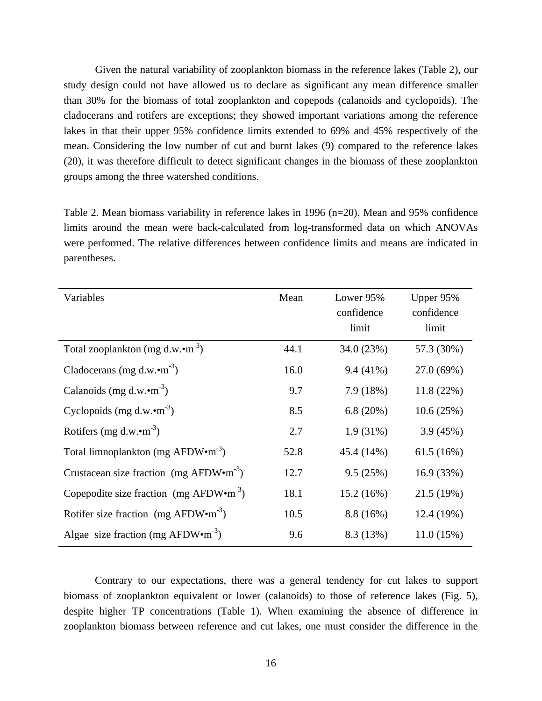Given the natural variability of zooplankton biomass in the reference lakes (Table 2), our study design could not have allowed us to declare as significant any mean difference smaller than 30% for the biomass of total zooplankton and copepods (calanoids and cyclopoids). The cladocerans and rotifers are exceptions; they showed important variations among the reference lakes in that their upper 95% confidence limits extended to 69% and 45% respectively of the mean. Considering the low number of cut and burnt lakes (9) compared to the reference lakes (20), it was therefore difficult to detect significant changes in the biomass of these zooplankton groups among the three watershed conditions.

Table 2. Mean biomass variability in reference lakes in 1996 (n=20). Mean and 95% confidence limits around the mean were back-calculated from log-transformed data on which ANOVAs were performed. The relative differences between confidence limits and means are indicated in parentheses.

| Variables                                                   | Mean | Lower 95%<br>confidence<br>limit | Upper 95%<br>confidence<br>limit |
|-------------------------------------------------------------|------|----------------------------------|----------------------------------|
| Total zooplankton (mg d.w. $\cdot$ m <sup>-3</sup> )        | 44.1 | 34.0 (23%)                       | 57.3 (30%)                       |
| Cladocerans (mg d.w. $\cdot$ m <sup>-3</sup> )              | 16.0 | $9.4(41\%)$                      | 27.0 (69%)                       |
| Calanoids (mg d.w. $\cdot$ m <sup>-3</sup> )                | 9.7  | 7.9(18%)                         | 11.8(22%)                        |
| Cyclopoids (mg d.w. $\cdot$ m <sup>-3</sup> )               | 8.5  | 6.8 $(20%)$                      | 10.6(25%)                        |
| Rotifers (mg d.w. $\cdot$ m <sup>-3</sup> )                 | 2.7  | $1.9(31\%)$                      | 3.9(45%)                         |
| Total limnoplankton (mg AFDW•m <sup>-3</sup> )              | 52.8 | 45.4 (14%)                       | 61.5(16%)                        |
| Crustacean size fraction (mg AFDW $\cdot$ m <sup>-3</sup> ) | 12.7 | 9.5(25%)                         | 16.9 (33%)                       |
| Copepodite size fraction $(mg \text{ AFDW} \cdot m^{-3})$   | 18.1 | 15.2(16%)                        | 21.5 (19%)                       |
| Rotifer size fraction (mg $AFDW\cdot m^{-3}$ )              | 10.5 | 8.8 (16%)                        | 12.4 (19%)                       |
| Algae size fraction (mg AFDW $\cdot$ m <sup>-3</sup> )      | 9.6  | 8.3 (13%)                        | 11.0(15%)                        |

Contrary to our expectations, there was a general tendency for cut lakes to support biomass of zooplankton equivalent or lower (calanoids) to those of reference lakes (Fig. 5), despite higher TP concentrations (Table 1). When examining the absence of difference in zooplankton biomass between reference and cut lakes, one must consider the difference in the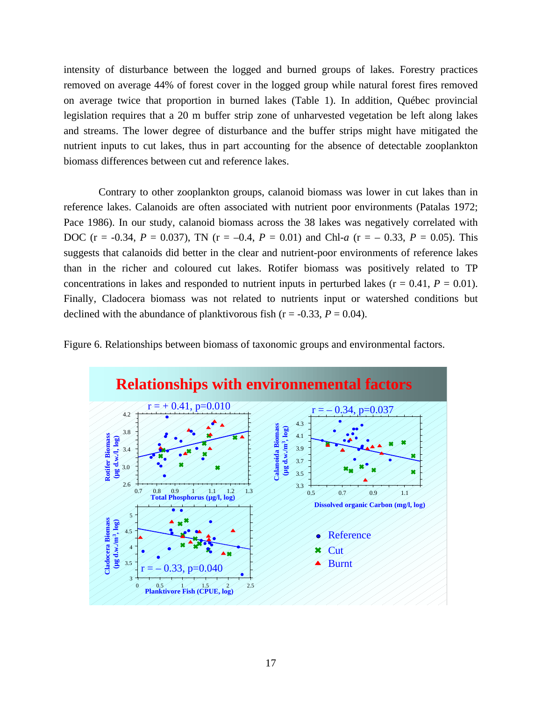intensity of disturbance between the logged and burned groups of lakes. Forestry practices removed on average 44% of forest cover in the logged group while natural forest fires removed on average twice that proportion in burned lakes (Table 1). In addition, Québec provincial legislation requires that a 20 m buffer strip zone of unharvested vegetation be left along lakes and streams. The lower degree of disturbance and the buffer strips might have mitigated the nutrient inputs to cut lakes, thus in part accounting for the absence of detectable zooplankton biomass differences between cut and reference lakes.

 Contrary to other zooplankton groups, calanoid biomass was lower in cut lakes than in reference lakes. Calanoids are often associated with nutrient poor environments (Patalas 1972; Pace 1986). In our study, calanoid biomass across the 38 lakes was negatively correlated with DOC (r = -0.34,  $P = 0.037$ ), TN (r = -0.4,  $P = 0.01$ ) and Chl-*a* (r = -0.33,  $P = 0.05$ ). This suggests that calanoids did better in the clear and nutrient-poor environments of reference lakes than in the richer and coloured cut lakes. Rotifer biomass was positively related to TP concentrations in lakes and responded to nutrient inputs in perturbed lakes  $(r = 0.41, P = 0.01)$ . Finally, Cladocera biomass was not related to nutrients input or watershed conditions but declined with the abundance of planktivorous fish ( $r = -0.33$ ,  $P = 0.04$ ).



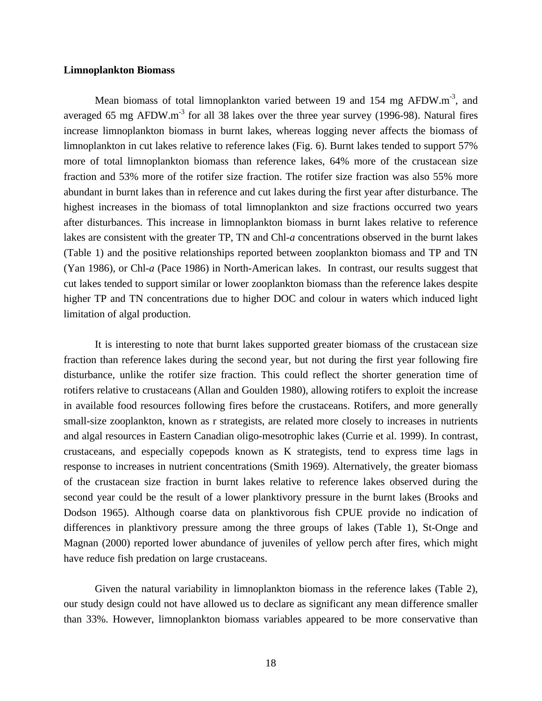#### **Limnoplankton Biomass**

Mean biomass of total limnoplankton varied between 19 and 154 mg AFDW.m<sup>-3</sup>, and averaged 65 mg AFDW.m<sup>-3</sup> for all 38 lakes over the three year survey (1996-98). Natural fires increase limnoplankton biomass in burnt lakes, whereas logging never affects the biomass of limnoplankton in cut lakes relative to reference lakes (Fig. 6). Burnt lakes tended to support 57% more of total limnoplankton biomass than reference lakes, 64% more of the crustacean size fraction and 53% more of the rotifer size fraction. The rotifer size fraction was also 55% more abundant in burnt lakes than in reference and cut lakes during the first year after disturbance. The highest increases in the biomass of total limnoplankton and size fractions occurred two years after disturbances. This increase in limnoplankton biomass in burnt lakes relative to reference lakes are consistent with the greater TP, TN and Chl-*a* concentrations observed in the burnt lakes (Table 1) and the positive relationships reported between zooplankton biomass and TP and TN (Yan 1986), or Chl-*a* (Pace 1986) in North-American lakes. In contrast, our results suggest that cut lakes tended to support similar or lower zooplankton biomass than the reference lakes despite higher TP and TN concentrations due to higher DOC and colour in waters which induced light limitation of algal production.

It is interesting to note that burnt lakes supported greater biomass of the crustacean size fraction than reference lakes during the second year, but not during the first year following fire disturbance, unlike the rotifer size fraction. This could reflect the shorter generation time of rotifers relative to crustaceans (Allan and Goulden 1980), allowing rotifers to exploit the increase in available food resources following fires before the crustaceans. Rotifers, and more generally small-size zooplankton, known as r strategists, are related more closely to increases in nutrients and algal resources in Eastern Canadian oligo-mesotrophic lakes (Currie et al. 1999). In contrast, crustaceans, and especially copepods known as K strategists, tend to express time lags in response to increases in nutrient concentrations (Smith 1969). Alternatively, the greater biomass of the crustacean size fraction in burnt lakes relative to reference lakes observed during the second year could be the result of a lower planktivory pressure in the burnt lakes (Brooks and Dodson 1965). Although coarse data on planktivorous fish CPUE provide no indication of differences in planktivory pressure among the three groups of lakes (Table 1), St-Onge and Magnan (2000) reported lower abundance of juveniles of yellow perch after fires, which might have reduce fish predation on large crustaceans.

Given the natural variability in limnoplankton biomass in the reference lakes (Table 2), our study design could not have allowed us to declare as significant any mean difference smaller than 33%. However, limnoplankton biomass variables appeared to be more conservative than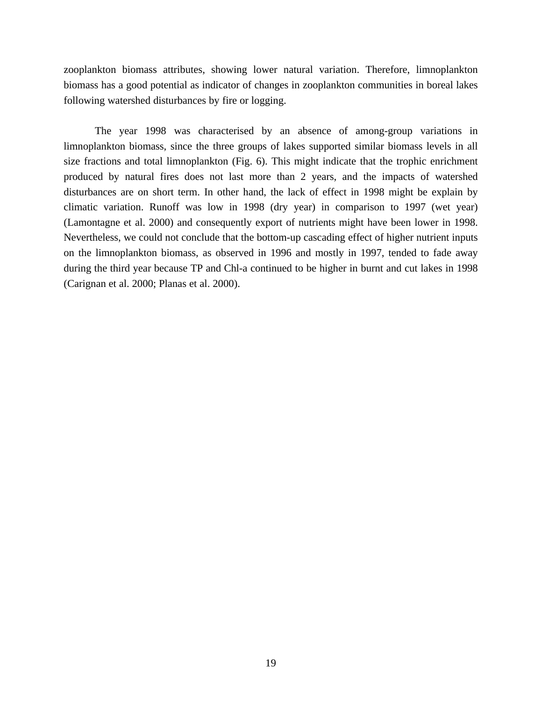zooplankton biomass attributes, showing lower natural variation. Therefore, limnoplankton biomass has a good potential as indicator of changes in zooplankton communities in boreal lakes following watershed disturbances by fire or logging.

The year 1998 was characterised by an absence of among-group variations in limnoplankton biomass, since the three groups of lakes supported similar biomass levels in all size fractions and total limnoplankton (Fig. 6). This might indicate that the trophic enrichment produced by natural fires does not last more than 2 years, and the impacts of watershed disturbances are on short term. In other hand, the lack of effect in 1998 might be explain by climatic variation. Runoff was low in 1998 (dry year) in comparison to 1997 (wet year) (Lamontagne et al. 2000) and consequently export of nutrients might have been lower in 1998. Nevertheless, we could not conclude that the bottom-up cascading effect of higher nutrient inputs on the limnoplankton biomass, as observed in 1996 and mostly in 1997, tended to fade away during the third year because TP and Chl-a continued to be higher in burnt and cut lakes in 1998 (Carignan et al. 2000; Planas et al. 2000).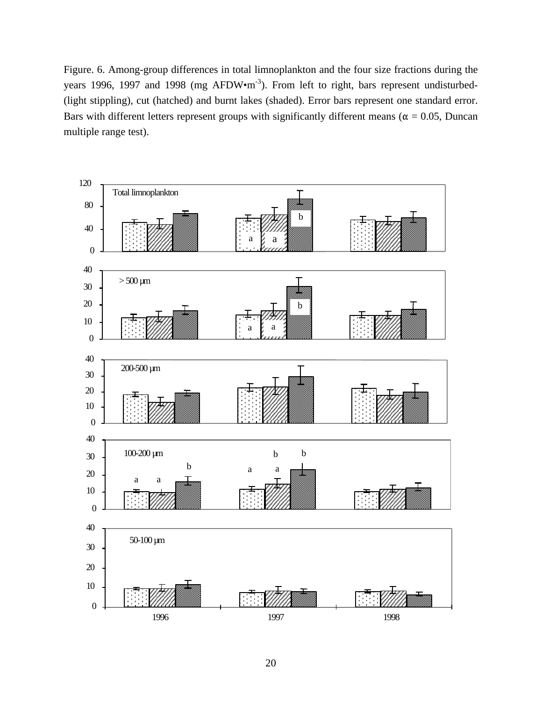Figure. 6. Among-group differences in total limnoplankton and the four size fractions during the years 1996, 1997 and 1998 (mg AFDW•m<sup>-3</sup>). From left to right, bars represent undisturbed-(light stippling), cut (hatched) and burnt lakes (shaded). Error bars represent one standard error. Bars with different letters represent groups with significantly different means ( $\alpha = 0.05$ , Duncan multiple range test).

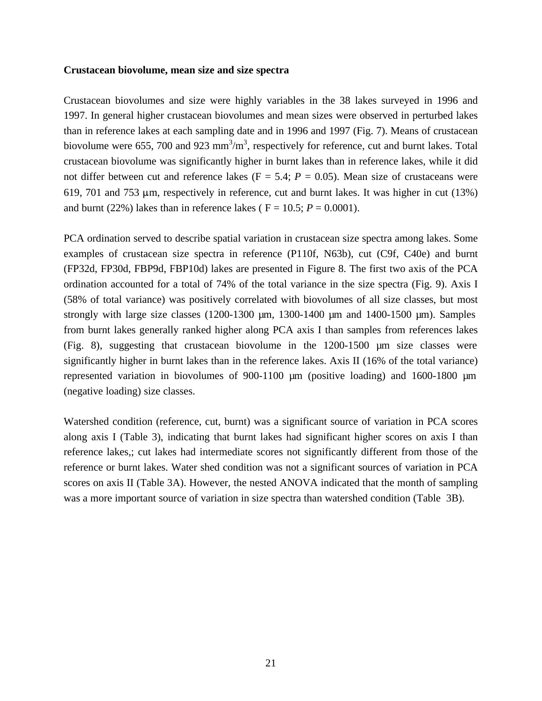#### **Crustacean biovolume, mean size and size spectra**

Crustacean biovolumes and size were highly variables in the 38 lakes surveyed in 1996 and 1997. In general higher crustacean biovolumes and mean sizes were observed in perturbed lakes than in reference lakes at each sampling date and in 1996 and 1997 (Fig. 7). Means of crustacean biovolume were 655, 700 and 923  $\text{mm}^3/\text{m}^3$ , respectively for reference, cut and burnt lakes. Total crustacean biovolume was significantly higher in burnt lakes than in reference lakes, while it did not differ between cut and reference lakes  $(F = 5.4; P = 0.05)$ . Mean size of crustaceans were 619, 701 and 753  $\mu$ m, respectively in reference, cut and burnt lakes. It was higher in cut (13%) and burnt (22%) lakes than in reference lakes ( $F = 10.5$ ;  $P = 0.0001$ ).

PCA ordination served to describe spatial variation in crustacean size spectra among lakes. Some examples of crustacean size spectra in reference (P110f, N63b), cut (C9f, C40e) and burnt (FP32d, FP30d, FBP9d, FBP10d) lakes are presented in Figure 8. The first two axis of the PCA ordination accounted for a total of 74% of the total variance in the size spectra (Fig. 9). Axis I (58% of total variance) was positively correlated with biovolumes of all size classes, but most strongly with large size classes  $(1200-1300 \mu m, 1300-1400 \mu m, 1400-1500 \mu m)$ . Samples from burnt lakes generally ranked higher along PCA axis I than samples from references lakes (Fig. 8), suggesting that crustacean biovolume in the 1200-1500 µm size classes were significantly higher in burnt lakes than in the reference lakes. Axis II (16% of the total variance) represented variation in biovolumes of 900-1100 µm (positive loading) and 1600-1800 µm (negative loading) size classes.

Watershed condition (reference, cut, burnt) was a significant source of variation in PCA scores along axis I (Table 3), indicating that burnt lakes had significant higher scores on axis I than reference lakes,; cut lakes had intermediate scores not significantly different from those of the reference or burnt lakes. Water shed condition was not a significant sources of variation in PCA scores on axis II (Table 3A). However, the nested ANOVA indicated that the month of sampling was a more important source of variation in size spectra than watershed condition (Table 3B).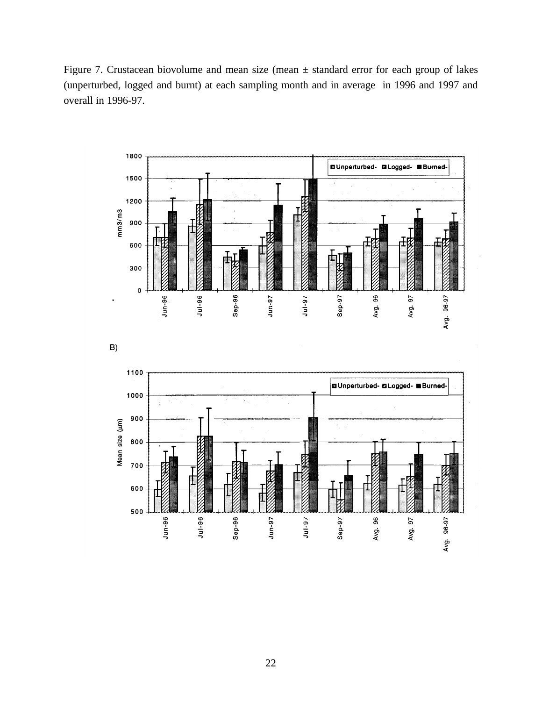Figure 7. Crustacean biovolume and mean size (mean ± standard error for each group of lakes (unperturbed, logged and burnt) at each sampling month and in average in 1996 and 1997 and overall in 1996-97.





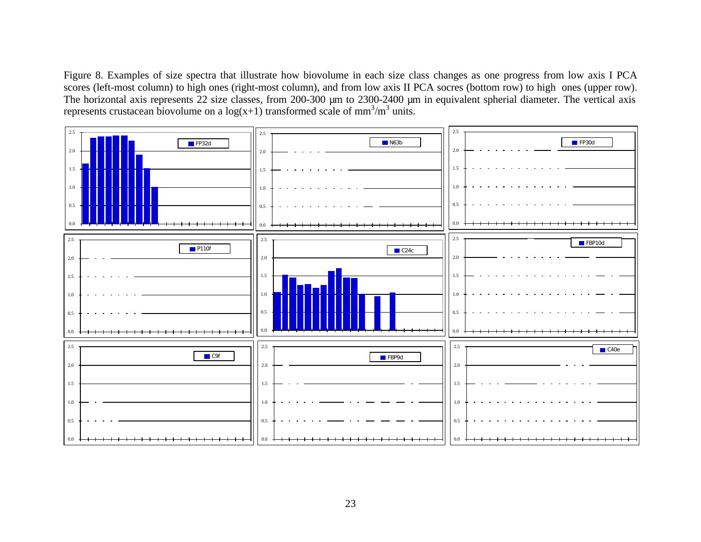Figure 8. Examples of size spectra that illustrate how biovolume in each size class changes as one progress from low axis I PCA scores (left-most column) to high ones (right-most column), and from low axis II PCA socres (bottom row) to high ones (upper row). The horizontal axis represents 22 size classes, from 200-300 µm to 2300-2400 µm in equivalent spherial diameter. The vertical axis represents crustacean biovolume on a  $log(x+1)$  transformed scale of mm<sup>3</sup>/m<sup>3</sup> units.

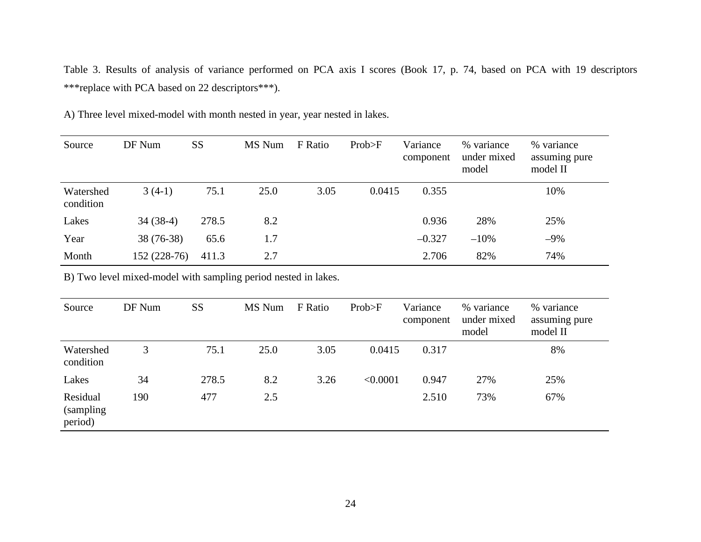Table 3. Results of analysis of variance performed on PCA axis I scores (Book 17, p. 74, based on PCA with 19 descriptors \*\*\*replace with PCA based on 22 descriptors\*\*\*).

| A) Three level mixed-model with month nested in year, year nested in lakes. |  |
|-----------------------------------------------------------------------------|--|
|                                                                             |  |

| Source                 | DF Num       | SS    | MS Num | F Ratio | Prob>F | Variance<br>component | % variance<br>under mixed<br>model | % variance<br>assuming pure<br>model II |
|------------------------|--------------|-------|--------|---------|--------|-----------------------|------------------------------------|-----------------------------------------|
| Watershed<br>condition | $3(4-1)$     | 75.1  | 25.0   | 3.05    | 0.0415 | 0.355                 |                                    | 10%                                     |
| Lakes                  | $34(38-4)$   | 278.5 | 8.2    |         |        | 0.936                 | 28%                                | 25%                                     |
| Year                   | 38 (76-38)   | 65.6  | 1.7    |         |        | $-0.327$              | $-10%$                             | $-9\%$                                  |
| Month                  | 152 (228-76) | 411.3 | 2.7    |         |        | 2.706                 | 82%                                | 74%                                     |

B) Two level mixed-model with sampling period nested in lakes.

| Source                            | DF Num | SS    | MS Num | F Ratio | Prob>F   | Variance<br>component | % variance<br>under mixed<br>model | % variance<br>assuming pure<br>model II |
|-----------------------------------|--------|-------|--------|---------|----------|-----------------------|------------------------------------|-----------------------------------------|
| Watershed<br>condition            | 3      | 75.1  | 25.0   | 3.05    | 0.0415   | 0.317                 |                                    | 8%                                      |
| Lakes                             | 34     | 278.5 | 8.2    | 3.26    | < 0.0001 | 0.947                 | 27%                                | 25%                                     |
| Residual<br>(sampling)<br>period) | 190    | 477   | 2.5    |         |          | 2.510                 | 73%                                | 67%                                     |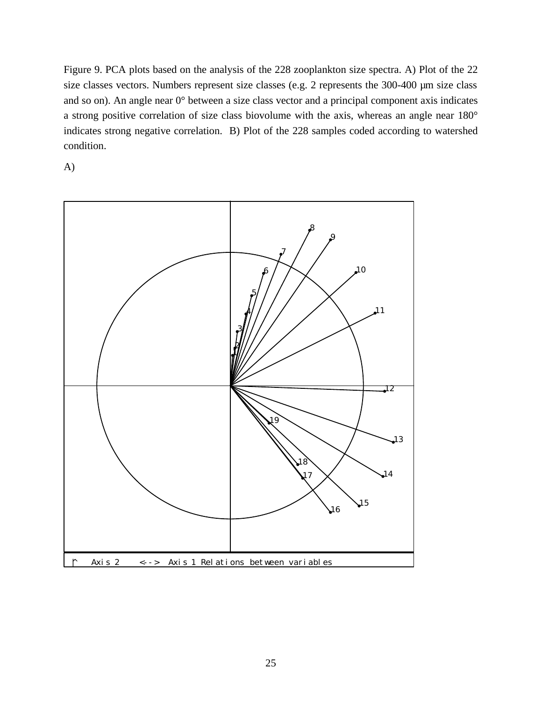Figure 9. PCA plots based on the analysis of the 228 zooplankton size spectra. A) Plot of the 22 size classes vectors. Numbers represent size classes (e.g. 2 represents the 300-400 µm size class and so on). An angle near 0° between a size class vector and a principal component axis indicates a strong positive correlation of size class biovolume with the axis, whereas an angle near 180° indicates strong negative correlation. B) Plot of the 228 samples coded according to watershed condition.

A)

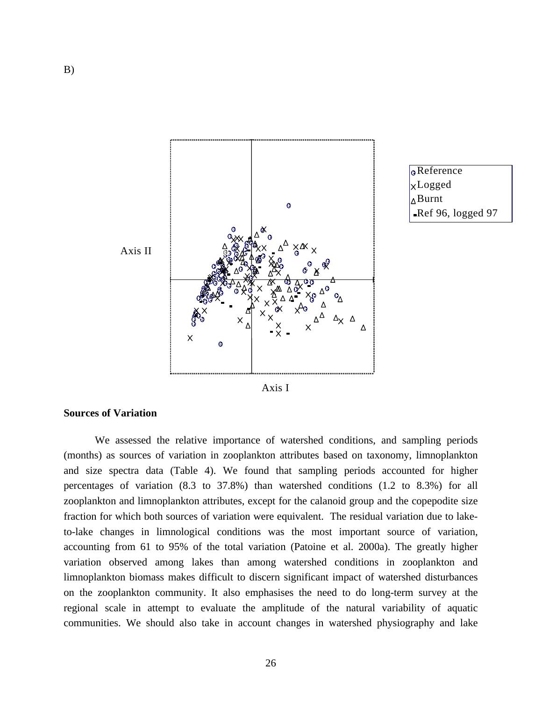



Axis I

#### **Sources of Variation**

We assessed the relative importance of watershed conditions, and sampling periods (months) as sources of variation in zooplankton attributes based on taxonomy, limnoplankton and size spectra data (Table 4). We found that sampling periods accounted for higher percentages of variation (8.3 to 37.8%) than watershed conditions (1.2 to 8.3%) for all zooplankton and limnoplankton attributes, except for the calanoid group and the copepodite size fraction for which both sources of variation were equivalent. The residual variation due to laketo-lake changes in limnological conditions was the most important source of variation, accounting from 61 to 95% of the total variation (Patoine et al. 2000a). The greatly higher variation observed among lakes than among watershed conditions in zooplankton and limnoplankton biomass makes difficult to discern significant impact of watershed disturbances on the zooplankton community. It also emphasises the need to do long-term survey at the regional scale in attempt to evaluate the amplitude of the natural variability of aquatic communities. We should also take in account changes in watershed physiography and lake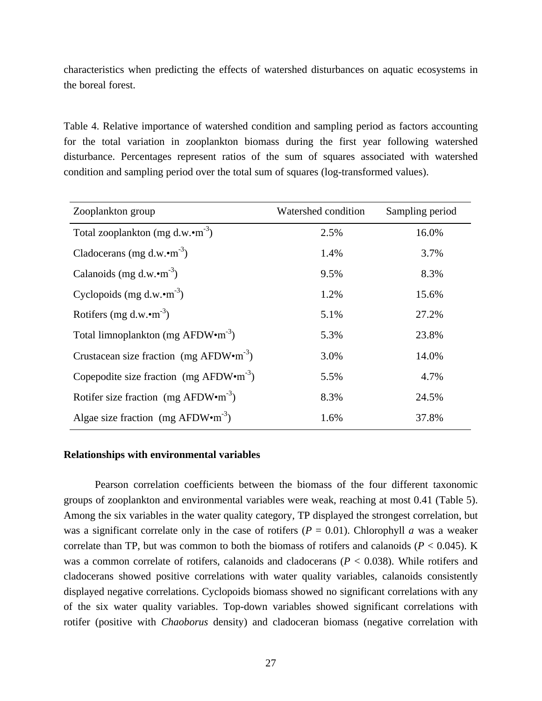characteristics when predicting the effects of watershed disturbances on aquatic ecosystems in the boreal forest.

Table 4. Relative importance of watershed condition and sampling period as factors accounting for the total variation in zooplankton biomass during the first year following watershed disturbance. Percentages represent ratios of the sum of squares associated with watershed condition and sampling period over the total sum of squares (log-transformed values).

| Zooplankton group                                      | Watershed condition | Sampling period |
|--------------------------------------------------------|---------------------|-----------------|
| Total zooplankton (mg d.w. $\cdot$ m <sup>-3</sup> )   | 2.5%                | 16.0%           |
| Cladocerans (mg d.w. $\cdot$ m <sup>-3</sup> )         | 1.4%                | 3.7%            |
| Calanoids (mg d.w. $\cdot$ m <sup>-3</sup> )           | 9.5%                | 8.3%            |
| Cyclopoids (mg d.w. $\cdot$ m <sup>-3</sup> )          | 1.2%                | 15.6%           |
| Rotifers (mg d.w. $\cdot$ m <sup>-3</sup> )            | 5.1%                | 27.2%           |
| Total limnoplankton (mg $AFDW \cdot m^{-3}$ )          | 5.3%                | 23.8%           |
| Crustacean size fraction (mg $AFDW\cdot m^{-3}$ )      | 3.0%                | 14.0%           |
| Copepodite size fraction (mg $AFDW \cdot m^{-3}$ )     | 5.5%                | 4.7%            |
| Rotifer size fraction (mg $AFDW\cdot m^{-3}$ )         | 8.3%                | 24.5%           |
| Algae size fraction (mg AFDW $\cdot$ m <sup>-3</sup> ) | 1.6%                | 37.8%           |

#### **Relationships with environmental variables**

Pearson correlation coefficients between the biomass of the four different taxonomic groups of zooplankton and environmental variables were weak, reaching at most 0.41 (Table 5). Among the six variables in the water quality category, TP displayed the strongest correlation, but was a significant correlate only in the case of rotifers  $(P = 0.01)$ . Chlorophyll *a* was a weaker correlate than TP, but was common to both the biomass of rotifers and calanoids ( $P < 0.045$ ). K was a common correlate of rotifers, calanoids and cladocerans (*P* < 0.038). While rotifers and cladocerans showed positive correlations with water quality variables, calanoids consistently displayed negative correlations. Cyclopoids biomass showed no significant correlations with any of the six water quality variables. Top-down variables showed significant correlations with rotifer (positive with *Chaoborus* density) and cladoceran biomass (negative correlation with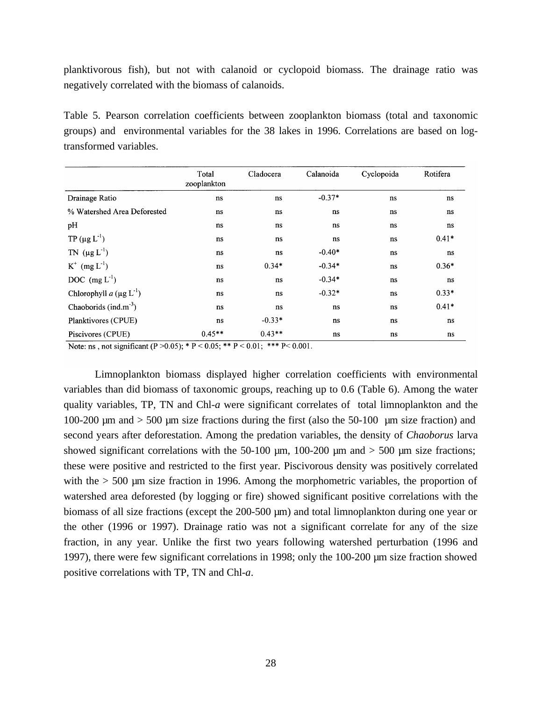planktivorous fish), but not with calanoid or cyclopoid biomass. The drainage ratio was negatively correlated with the biomass of calanoids.

Table 5. Pearson correlation coefficients between zooplankton biomass (total and taxonomic groups) and environmental variables for the 38 lakes in 1996. Correlations are based on logtransformed variables.

|                                   | Total<br>zooplankton | Cladocera | Calanoida | Cyclopoida | Rotifera |
|-----------------------------------|----------------------|-----------|-----------|------------|----------|
| Drainage Ratio                    | ns                   | ns        | $-0.37*$  | ns         | ns       |
| % Watershed Area Deforested       | ns                   | ns        | ns        | ns         | ns       |
| pH                                | ns                   | ns        | ns        | ns         | ns       |
| TP ( $\mu$ g L <sup>-1</sup> )    | ns                   | ns        | ns        | ns         | $0.41*$  |
| TN $(\mu g L^{-1})$               | ns                   | ns        | $-0.40*$  | ns         | ns       |
| $K^+$ (mg $L^{-1}$ )              | ns                   | $0.34*$   | $-0.34*$  | ns         | $0.36*$  |
| DOC $(mg L-1)$                    | ns                   | ns        | $-0.34*$  | ns         | ns       |
| Chlorophyll $a (\mu g L^{-1})$    | ns                   | ns        | $-0.32*$  | ns         | $0.33*$  |
| Chaoborids (ind.m <sup>-3</sup> ) | ns                   | ns        | ns        | ns         | $0.41*$  |
| Planktivores (CPUE)               | ns                   | $-0.33*$  | ns        | ns         | ns       |
| Piscivores (CPUE)                 | $0.45**$             | $0.43**$  | ns        | ns         | ns       |

Note: ns, not significant (P > 0.05); \* P < 0.05; \*\* P < 0.01; \*\*\* P < 0.001.

Limnoplankton biomass displayed higher correlation coefficients with environmental variables than did biomass of taxonomic groups, reaching up to 0.6 (Table 6). Among the water quality variables, TP, TN and Chl-*a* were significant correlates of total limnoplankton and the 100-200  $\mu$ m and  $>$  500  $\mu$ m size fractions during the first (also the 50-100  $\mu$ m size fraction) and second years after deforestation. Among the predation variables, the density of *Chaoborus* larva showed significant correlations with the 50-100  $\mu$ m, 100-200  $\mu$ m and > 500  $\mu$ m size fractions; these were positive and restricted to the first year. Piscivorous density was positively correlated with the  $> 500$  µm size fraction in 1996. Among the morphometric variables, the proportion of watershed area deforested (by logging or fire) showed significant positive correlations with the biomass of all size fractions (except the 200-500 µm) and total limnoplankton during one year or the other (1996 or 1997). Drainage ratio was not a significant correlate for any of the size fraction, in any year. Unlike the first two years following watershed perturbation (1996 and 1997), there were few significant correlations in 1998; only the 100-200 µm size fraction showed positive correlations with TP, TN and Chl-*a*.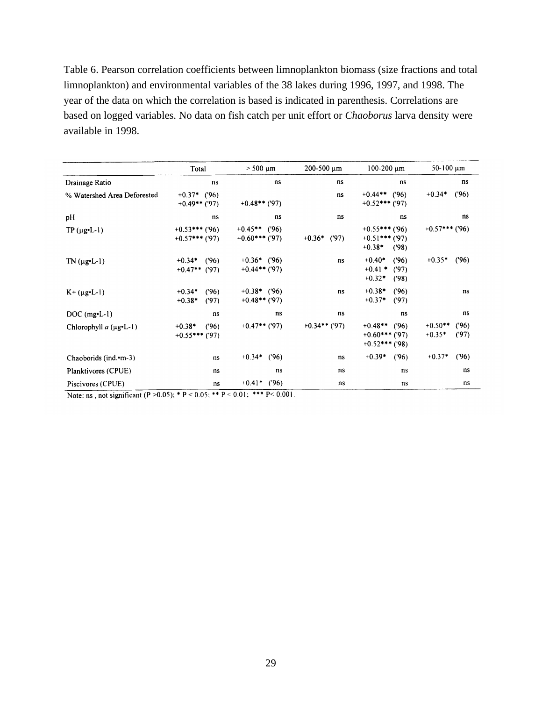Table 6. Pearson correlation coefficients between limnoplankton biomass (size fractions and total limnoplankton) and environmental variables of the 38 lakes during 1996, 1997, and 1998. The year of the data on which the correlation is based is indicated in parenthesis. Correlations are based on logged variables. No data on fish catch per unit effort or *Chaoborus* larva density were available in 1998.

|                                | Total                                  | $> 500 \mu m$                         | $200 - 500 \mu m$ | $100-200 \mu m$                                              | $50-100 \mu m$                        |
|--------------------------------|----------------------------------------|---------------------------------------|-------------------|--------------------------------------------------------------|---------------------------------------|
| Drainage Ratio                 | ns                                     | ns                                    | ns                | ns                                                           | ns                                    |
| % Watershed Area Deforested    | $+0.37*$ ('96)<br>$+0.49$ ** ('97)     | $+0.48$ ** ('97)                      | ns                | $+0.44**$ ('96)<br>$+0.52$ *** ('97)                         | $+0.34*$<br>(96)                      |
| рH                             | ns                                     | ns                                    | ns                | ns                                                           | ns                                    |
| $TP(\mu$ g [-1]                | $+0.53$ *** ('96)<br>$+0.57$ *** ('97) | $+0.45$ ** ('96)<br>$+0.60$ *** ('97) | $+0.36*$ ('97)    | $+0.55$ *** ('96)<br>$+0.51$ *** ('97)<br>$+0.38*$<br>(98)   | $+0.57$ *** ('96)                     |
| $TN (\mu g \cdot L - 1)$       | (96)<br>$+0.34*$<br>$+0.47$ ** ('97)   | $+0.36*$ ('96)<br>$+0.44$ ** ('97)    | ns                | $+0.40*$<br>('96)<br>$+0.41$ *<br>(97)<br>$+0.32*$<br>(98)   | (96)<br>$+0.35*$                      |
| $K + (\mu g \cdot L - 1)$      | (96)<br>$+0.34*$<br>$+0.38*$<br>(97)   | $+0.38*$ ('96)<br>$+0.48$ ** ('97)    | ns                | $+0.38*$<br>(96)<br>$+0.37*$<br>(97)                         | ns                                    |
| $DOC$ (mg $-L-1$ )             | ns                                     | ns                                    | ns                | ns                                                           | ns                                    |
| Chlorophyll $a$ ( $\mu$ g•L-1) | $+0.38*$<br>(96)<br>$+0.55$ *** ('97)  | $+0.47$ ** ('97)                      | $+0.34$ ** ('97)  | $+0.48$ **<br>(96)<br>$+0.60$ *** ('97)<br>$+0.52$ *** ('98) | (96)<br>$+0.50**$<br>$+0.35*$<br>(97) |
| Chaoborids (ind.•m-3)          | ns                                     | $+0.34*$<br>(96)                      | ns                | $+0.39*$<br>(96)                                             | $+0.37*$<br>(96)                      |
| Planktivores (CPUE)            | ns                                     | ns                                    | ns                | ns                                                           | ns                                    |
| Piscivores (CPUE)              | ns                                     | $+0.41*$ ('96)                        | ns                | ns                                                           | ns                                    |

Note: ns, not significant (P > 0.05); \* P < 0.05; \*\* P < 0.01; \*\*\* P < 0.001.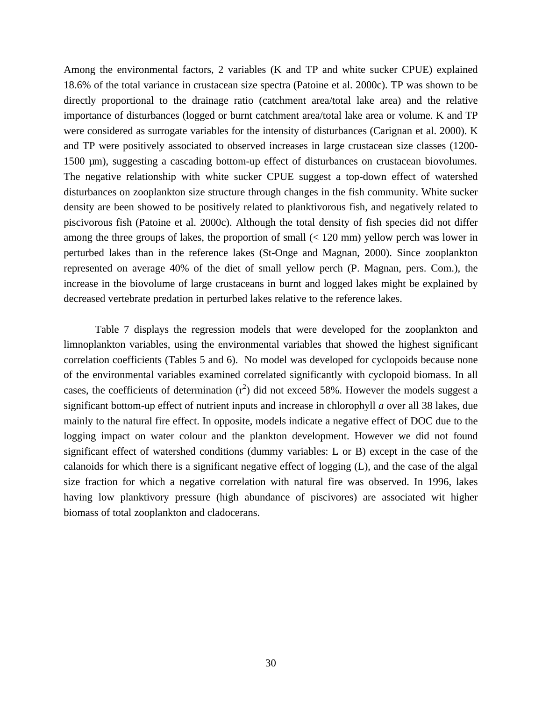Among the environmental factors, 2 variables (K and TP and white sucker CPUE) explained 18.6% of the total variance in crustacean size spectra (Patoine et al. 2000c). TP was shown to be directly proportional to the drainage ratio (catchment area/total lake area) and the relative importance of disturbances (logged or burnt catchment area/total lake area or volume. K and TP were considered as surrogate variables for the intensity of disturbances (Carignan et al. 2000). K and TP were positively associated to observed increases in large crustacean size classes (1200- 1500 µm), suggesting a cascading bottom-up effect of disturbances on crustacean biovolumes. The negative relationship with white sucker CPUE suggest a top-down effect of watershed disturbances on zooplankton size structure through changes in the fish community. White sucker density are been showed to be positively related to planktivorous fish, and negatively related to piscivorous fish (Patoine et al. 2000c). Although the total density of fish species did not differ among the three groups of lakes, the proportion of small  $(< 120 \text{ mm})$  yellow perch was lower in perturbed lakes than in the reference lakes (St-Onge and Magnan, 2000). Since zooplankton represented on average 40% of the diet of small yellow perch (P. Magnan, pers. Com.), the increase in the biovolume of large crustaceans in burnt and logged lakes might be explained by decreased vertebrate predation in perturbed lakes relative to the reference lakes.

Table 7 displays the regression models that were developed for the zooplankton and limnoplankton variables, using the environmental variables that showed the highest significant correlation coefficients (Tables 5 and 6). No model was developed for cyclopoids because none of the environmental variables examined correlated significantly with cyclopoid biomass. In all cases, the coefficients of determination  $(r^2)$  did not exceed 58%. However the models suggest a significant bottom-up effect of nutrient inputs and increase in chlorophyll *a* over all 38 lakes, due mainly to the natural fire effect. In opposite, models indicate a negative effect of DOC due to the logging impact on water colour and the plankton development. However we did not found significant effect of watershed conditions (dummy variables: L or B) except in the case of the calanoids for which there is a significant negative effect of logging (L), and the case of the algal size fraction for which a negative correlation with natural fire was observed. In 1996, lakes having low planktivory pressure (high abundance of piscivores) are associated wit higher biomass of total zooplankton and cladocerans.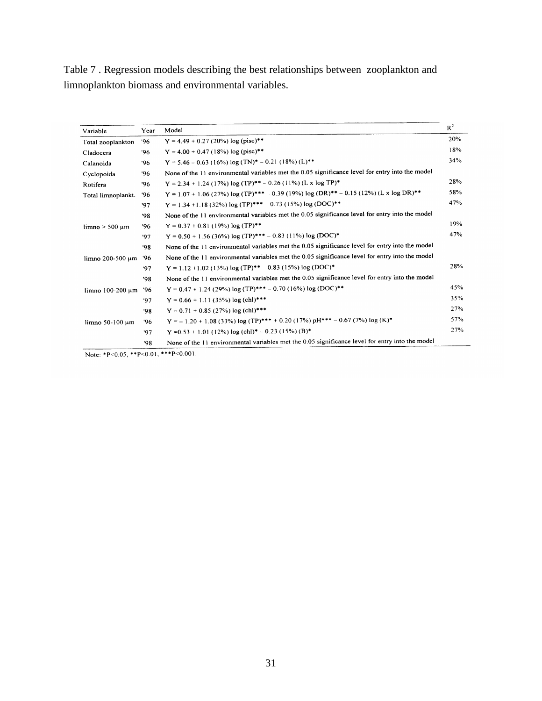Table 7 . Regression models describing the best relationships between zooplankton and limnoplankton biomass and environmental variables.

|                     |      |                                                                                                 | $R^2$ |
|---------------------|------|-------------------------------------------------------------------------------------------------|-------|
| Variable            | Year | Model                                                                                           |       |
| Total zooplankton   | 96'  | $Y = 4.49 + 0.27 (20\%) \log (pisc)**$                                                          | 20%   |
| Cladocera           | '96  | $Y = 4.00 + 0.47$ (18%) log (pisc)**                                                            | 18%   |
| Calanoida           | '96  | $Y = 5.46 - 0.63$ (16%) log (TN)* - 0.21 (18%) (L)**                                            | 34%   |
| Cyclopoida          | '96  | None of the 11 environmental variables met the 0.05 significance level for entry into the model |       |
| Rotifera            | '96  | $Y = 2.34 + 1.24 (17%) log (TP)*+ -0.26 (11%) (L x log TP)*$                                    | 28%   |
| Total limnoplankt.  | '96  | $Y = 1.07 + 1.06 (27%) \log(TP)$ *** 0.39 (19%) $\log(DR)$ ** - 0.15 (12%) (L x $\log DR$ )**   | 58%   |
|                     | '97  | $Y = 1.34 + 1.18$ (32%) log (TP)*** 0.73 (15%) log (DOC)**                                      | 47%   |
|                     | '98  | None of the 11 environmental variables met the 0.05 significance level for entry into the model |       |
| $limno > 500 \mu m$ | '96  | $Y = 0.37 + 0.81$ (19%) log (TP) <sup>**</sup>                                                  | 19%   |
|                     | '97  | $Y = 0.50 + 1.56$ (36%) log (TP)*** – 0.83 (11%) log (DOC)*                                     | 47%   |
|                     | '98  | None of the 11 environmental variables met the 0.05 significance level for entry into the model |       |
| limno 200-500 um    | '96  | None of the 11 environmental variables met the 0.05 significance level for entry into the model |       |
|                     | 97   | $Y = 1.12 + 1.02$ (13%) log (TP)** - 0.83 (15%) log (DOC)*                                      | 28%   |
|                     | '98  | None of the 11 environmental variables met the 0.05 significance level for entry into the model |       |
| limno 100-200 µm    | '96  | $Y = 0.47 + 1.24$ (29%) log (TP)*** – 0.70 (16%) log (DOC)**                                    | 45%   |
|                     | '97  | $Y = 0.66 + 1.11$ (35%) log (chl)***                                                            | 35%   |
|                     | '98  | $Y = 0.71 + 0.85$ (27%) log (chl)***                                                            | 27%   |
| limno 50-100 um     | '96  | $Y = -1.20 + 1.08 (33%) \log (TP)$ *** + 0.20 (17%) pH*** - 0.67 (7%) log (K)*                  | 57%   |
|                     | '97  | $Y = 0.53 + 1.01$ (12%) log (chl)* - 0.23 (15%) (B)*                                            | 27%   |
|                     | '98  | None of the 11 environmental variables met the 0.05 significance level for entry into the model |       |

Note: \*P<0.05, \*\*P<0.01, \*\*\*P<0.001.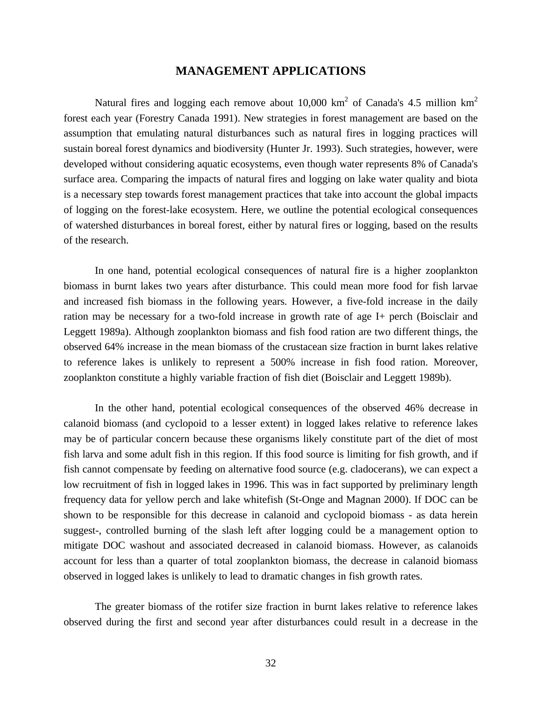### **MANAGEMENT APPLICATIONS**

Natural fires and logging each remove about 10,000 km<sup>2</sup> of Canada's 4.5 million km<sup>2</sup> forest each year (Forestry Canada 1991). New strategies in forest management are based on the assumption that emulating natural disturbances such as natural fires in logging practices will sustain boreal forest dynamics and biodiversity (Hunter Jr. 1993). Such strategies, however, were developed without considering aquatic ecosystems, even though water represents 8% of Canada's surface area. Comparing the impacts of natural fires and logging on lake water quality and biota is a necessary step towards forest management practices that take into account the global impacts of logging on the forest-lake ecosystem. Here, we outline the potential ecological consequences of watershed disturbances in boreal forest, either by natural fires or logging, based on the results of the research.

In one hand, potential ecological consequences of natural fire is a higher zooplankton biomass in burnt lakes two years after disturbance. This could mean more food for fish larvae and increased fish biomass in the following years. However, a five-fold increase in the daily ration may be necessary for a two-fold increase in growth rate of age I+ perch (Boisclair and Leggett 1989a). Although zooplankton biomass and fish food ration are two different things, the observed 64% increase in the mean biomass of the crustacean size fraction in burnt lakes relative to reference lakes is unlikely to represent a 500% increase in fish food ration. Moreover, zooplankton constitute a highly variable fraction of fish diet (Boisclair and Leggett 1989b).

In the other hand, potential ecological consequences of the observed 46% decrease in calanoid biomass (and cyclopoid to a lesser extent) in logged lakes relative to reference lakes may be of particular concern because these organisms likely constitute part of the diet of most fish larva and some adult fish in this region. If this food source is limiting for fish growth, and if fish cannot compensate by feeding on alternative food source (e.g. cladocerans), we can expect a low recruitment of fish in logged lakes in 1996. This was in fact supported by preliminary length frequency data for yellow perch and lake whitefish (St-Onge and Magnan 2000). If DOC can be shown to be responsible for this decrease in calanoid and cyclopoid biomass - as data herein suggest-, controlled burning of the slash left after logging could be a management option to mitigate DOC washout and associated decreased in calanoid biomass. However, as calanoids account for less than a quarter of total zooplankton biomass, the decrease in calanoid biomass observed in logged lakes is unlikely to lead to dramatic changes in fish growth rates.

The greater biomass of the rotifer size fraction in burnt lakes relative to reference lakes observed during the first and second year after disturbances could result in a decrease in the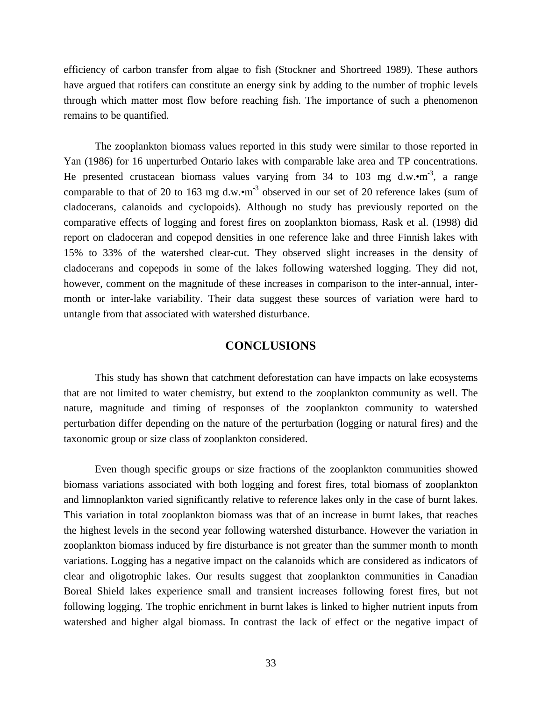efficiency of carbon transfer from algae to fish (Stockner and Shortreed 1989). These authors have argued that rotifers can constitute an energy sink by adding to the number of trophic levels through which matter most flow before reaching fish. The importance of such a phenomenon remains to be quantified.

The zooplankton biomass values reported in this study were similar to those reported in Yan (1986) for 16 unperturbed Ontario lakes with comparable lake area and TP concentrations. He presented crustacean biomass values varying from 34 to 103 mg d.w. $\cdot$ m<sup>-3</sup>, a range comparable to that of 20 to 163 mg d.w. $\cdot$ m<sup>-3</sup> observed in our set of 20 reference lakes (sum of cladocerans, calanoids and cyclopoids). Although no study has previously reported on the comparative effects of logging and forest fires on zooplankton biomass, Rask et al. (1998) did report on cladoceran and copepod densities in one reference lake and three Finnish lakes with 15% to 33% of the watershed clear-cut. They observed slight increases in the density of cladocerans and copepods in some of the lakes following watershed logging. They did not, however, comment on the magnitude of these increases in comparison to the inter-annual, intermonth or inter-lake variability. Their data suggest these sources of variation were hard to untangle from that associated with watershed disturbance.

# **CONCLUSIONS**

This study has shown that catchment deforestation can have impacts on lake ecosystems that are not limited to water chemistry, but extend to the zooplankton community as well. The nature, magnitude and timing of responses of the zooplankton community to watershed perturbation differ depending on the nature of the perturbation (logging or natural fires) and the taxonomic group or size class of zooplankton considered.

Even though specific groups or size fractions of the zooplankton communities showed biomass variations associated with both logging and forest fires, total biomass of zooplankton and limnoplankton varied significantly relative to reference lakes only in the case of burnt lakes. This variation in total zooplankton biomass was that of an increase in burnt lakes, that reaches the highest levels in the second year following watershed disturbance. However the variation in zooplankton biomass induced by fire disturbance is not greater than the summer month to month variations. Logging has a negative impact on the calanoids which are considered as indicators of clear and oligotrophic lakes. Our results suggest that zooplankton communities in Canadian Boreal Shield lakes experience small and transient increases following forest fires, but not following logging. The trophic enrichment in burnt lakes is linked to higher nutrient inputs from watershed and higher algal biomass. In contrast the lack of effect or the negative impact of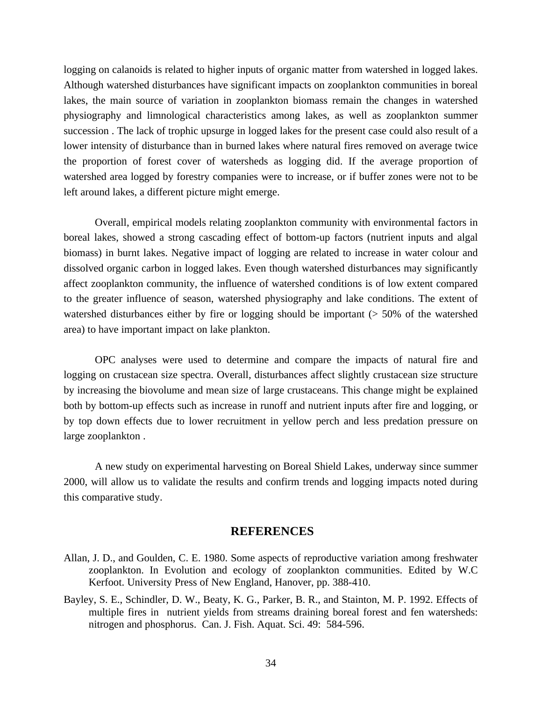logging on calanoids is related to higher inputs of organic matter from watershed in logged lakes. Although watershed disturbances have significant impacts on zooplankton communities in boreal lakes, the main source of variation in zooplankton biomass remain the changes in watershed physiography and limnological characteristics among lakes, as well as zooplankton summer succession . The lack of trophic upsurge in logged lakes for the present case could also result of a lower intensity of disturbance than in burned lakes where natural fires removed on average twice the proportion of forest cover of watersheds as logging did. If the average proportion of watershed area logged by forestry companies were to increase, or if buffer zones were not to be left around lakes, a different picture might emerge.

Overall, empirical models relating zooplankton community with environmental factors in boreal lakes, showed a strong cascading effect of bottom-up factors (nutrient inputs and algal biomass) in burnt lakes. Negative impact of logging are related to increase in water colour and dissolved organic carbon in logged lakes. Even though watershed disturbances may significantly affect zooplankton community, the influence of watershed conditions is of low extent compared to the greater influence of season, watershed physiography and lake conditions. The extent of watershed disturbances either by fire or logging should be important (> 50% of the watershed area) to have important impact on lake plankton.

OPC analyses were used to determine and compare the impacts of natural fire and logging on crustacean size spectra. Overall, disturbances affect slightly crustacean size structure by increasing the biovolume and mean size of large crustaceans. This change might be explained both by bottom-up effects such as increase in runoff and nutrient inputs after fire and logging, or by top down effects due to lower recruitment in yellow perch and less predation pressure on large zooplankton .

A new study on experimental harvesting on Boreal Shield Lakes, underway since summer 2000, will allow us to validate the results and confirm trends and logging impacts noted during this comparative study.

# **REFERENCES**

- Allan, J. D., and Goulden, C. E. 1980. Some aspects of reproductive variation among freshwater zooplankton. In Evolution and ecology of zooplankton communities. Edited by W.C Kerfoot. University Press of New England, Hanover, pp. 388-410.
- Bayley, S. E., Schindler, D. W., Beaty, K. G., Parker, B. R., and Stainton, M. P. 1992. Effects of multiple fires in nutrient yields from streams draining boreal forest and fen watersheds: nitrogen and phosphorus. Can. J. Fish. Aquat. Sci. 49: 584-596.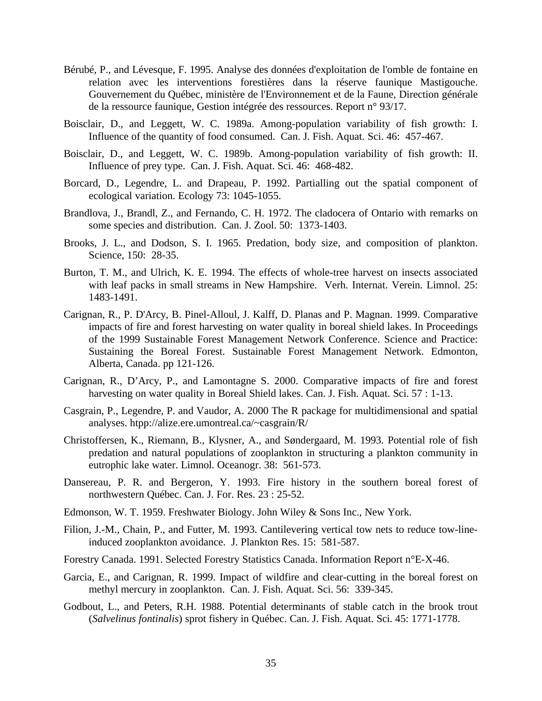- Bérubé, P., and Lévesque, F. 1995. Analyse des données d'exploitation de l'omble de fontaine en relation avec les interventions forestières dans la réserve faunique Mastigouche. Gouvernement du Québec, ministère de l'Environnement et de la Faune, Direction générale de la ressource faunique, Gestion intégrée des ressources. Report n° 93/17.
- Boisclair, D., and Leggett, W. C. 1989a. Among-population variability of fish growth: I. Influence of the quantity of food consumed. Can. J. Fish. Aquat. Sci. 46: 457-467.
- Boisclair, D., and Leggett, W. C. 1989b. Among-population variability of fish growth: II. Influence of prey type. Can. J. Fish. Aquat. Sci. 46: 468-482.
- Borcard, D., Legendre, L. and Drapeau, P. 1992. Partialling out the spatial component of ecological variation. Ecology 73: 1045-1055.
- Brandlova, J., Brandl, Z., and Fernando, C. H. 1972. The cladocera of Ontario with remarks on some species and distribution. Can. J. Zool. 50: 1373-1403.
- Brooks, J. L., and Dodson, S. I. 1965. Predation, body size, and composition of plankton. Science, 150: 28-35.
- Burton, T. M., and Ulrich, K. E. 1994. The effects of whole-tree harvest on insects associated with leaf packs in small streams in New Hampshire. Verh. Internat. Verein. Limnol. 25: 1483-1491.
- Carignan, R., P. D'Arcy, B. Pinel-Alloul, J. Kalff, D. Planas and P. Magnan. 1999. Comparative impacts of fire and forest harvesting on water quality in boreal shield lakes. In Proceedings of the 1999 Sustainable Forest Management Network Conference. Science and Practice: Sustaining the Boreal Forest. Sustainable Forest Management Network. Edmonton, Alberta, Canada. pp 121-126.
- Carignan, R., D'Arcy, P., and Lamontagne S. 2000. Comparative impacts of fire and forest harvesting on water quality in Boreal Shield lakes. Can. J. Fish. Aquat. Sci. 57 : 1-13.
- Casgrain, P., Legendre, P. and Vaudor, A. 2000 The R package for multidimensional and spatial analyses. htpp://alize.ere.umontreal.ca/~casgrain/R/
- Christoffersen, K., Riemann, B., Klysner, A., and Søndergaard, M. 1993. Potential role of fish predation and natural populations of zooplankton in structuring a plankton community in eutrophic lake water. Limnol. Oceanogr. 38: 561-573.
- Dansereau, P. R. and Bergeron, Y. 1993. Fire history in the southern boreal forest of northwestern Québec. Can. J. For. Res. 23 : 25-52.
- Edmonson, W. T. 1959. Freshwater Biology. John Wiley & Sons Inc., New York.
- Filion, J.-M., Chain, P., and Futter, M. 1993. Cantilevering vertical tow nets to reduce tow-lineinduced zooplankton avoidance. J. Plankton Res. 15: 581-587.
- Forestry Canada. 1991. Selected Forestry Statistics Canada. Information Report n°E-X-46.
- Garcia, E., and Carignan, R. 1999. Impact of wildfire and clear-cutting in the boreal forest on methyl mercury in zooplankton. Can. J. Fish. Aquat. Sci. 56: 339-345.
- Godbout, L., and Peters, R.H. 1988. Potential determinants of stable catch in the brook trout (*Salvelinus fontinalis*) sprot fishery in Québec. Can. J. Fish. Aquat. Sci. 45: 1771-1778.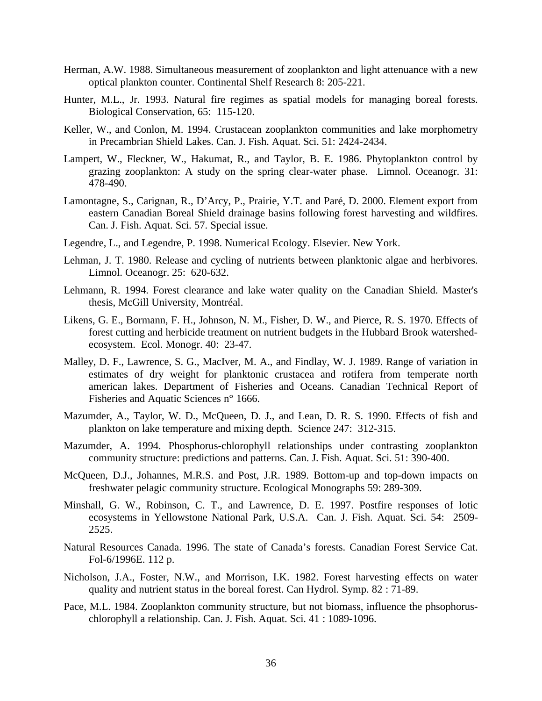- Herman, A.W. 1988. Simultaneous measurement of zooplankton and light attenuance with a new optical plankton counter. Continental Shelf Research 8: 205-221.
- Hunter, M.L., Jr. 1993. Natural fire regimes as spatial models for managing boreal forests. Biological Conservation, 65: 115-120.
- Keller, W., and Conlon, M. 1994. Crustacean zooplankton communities and lake morphometry in Precambrian Shield Lakes. Can. J. Fish. Aquat. Sci. 51: 2424-2434.
- Lampert, W., Fleckner, W., Hakumat, R., and Taylor, B. E. 1986. Phytoplankton control by grazing zooplankton: A study on the spring clear-water phase. Limnol. Oceanogr. 31: 478-490.
- Lamontagne, S., Carignan, R., D'Arcy, P., Prairie, Y.T. and Paré, D. 2000. Element export from eastern Canadian Boreal Shield drainage basins following forest harvesting and wildfires. Can. J. Fish. Aquat. Sci. 57. Special issue.
- Legendre, L., and Legendre, P. 1998. Numerical Ecology. Elsevier. New York.
- Lehman, J. T. 1980. Release and cycling of nutrients between planktonic algae and herbivores. Limnol. Oceanogr. 25: 620-632.
- Lehmann, R. 1994. Forest clearance and lake water quality on the Canadian Shield. Master's thesis, McGill University, Montréal.
- Likens, G. E., Bormann, F. H., Johnson, N. M., Fisher, D. W., and Pierce, R. S. 1970. Effects of forest cutting and herbicide treatment on nutrient budgets in the Hubbard Brook watershedecosystem. Ecol. Monogr. 40: 23-47.
- Malley, D. F., Lawrence, S. G., MacIver, M. A., and Findlay, W. J. 1989. Range of variation in estimates of dry weight for planktonic crustacea and rotifera from temperate north american lakes. Department of Fisheries and Oceans. Canadian Technical Report of Fisheries and Aquatic Sciences n° 1666.
- Mazumder, A., Taylor, W. D., McQueen, D. J., and Lean, D. R. S. 1990. Effects of fish and plankton on lake temperature and mixing depth. Science 247: 312-315.
- Mazumder, A. 1994. Phosphorus-chlorophyll relationships under contrasting zooplankton community structure: predictions and patterns. Can. J. Fish. Aquat. Sci. 51: 390-400.
- McQueen, D.J., Johannes, M.R.S. and Post, J.R. 1989. Bottom-up and top-down impacts on freshwater pelagic community structure. Ecological Monographs 59: 289-309.
- Minshall, G. W., Robinson, C. T., and Lawrence, D. E. 1997. Postfire responses of lotic ecosystems in Yellowstone National Park, U.S.A. Can. J. Fish. Aquat. Sci. 54: 2509- 2525.
- Natural Resources Canada. 1996. The state of Canada's forests. Canadian Forest Service Cat. Fol-6/1996E. 112 p.
- Nicholson, J.A., Foster, N.W., and Morrison, I.K. 1982. Forest harvesting effects on water quality and nutrient status in the boreal forest. Can Hydrol. Symp. 82 : 71-89.
- Pace, M.L. 1984. Zooplankton community structure, but not biomass, influence the phsophoruschlorophyll a relationship. Can. J. Fish. Aquat. Sci. 41 : 1089-1096.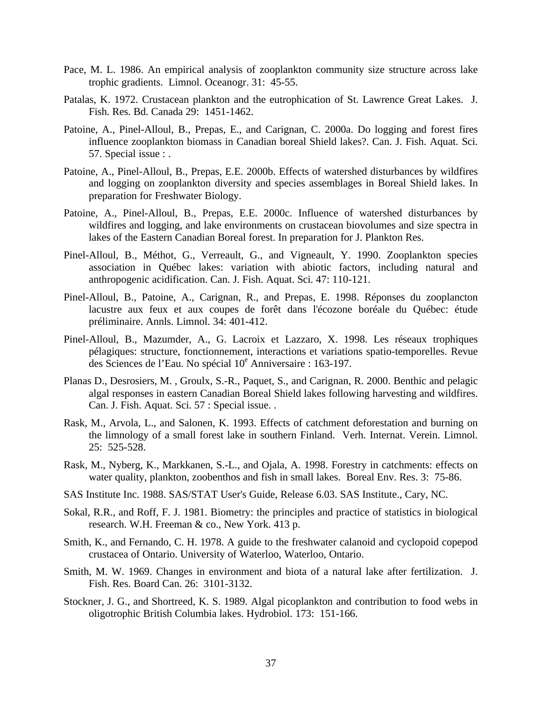- Pace, M. L. 1986. An empirical analysis of zooplankton community size structure across lake trophic gradients. Limnol. Oceanogr. 31: 45-55.
- Patalas, K. 1972. Crustacean plankton and the eutrophication of St. Lawrence Great Lakes. J. Fish. Res. Bd. Canada 29: 1451-1462.
- Patoine, A., Pinel-Alloul, B., Prepas, E., and Carignan, C. 2000a. Do logging and forest fires influence zooplankton biomass in Canadian boreal Shield lakes?. Can. J. Fish. Aquat. Sci. 57. Special issue : .
- Patoine, A., Pinel-Alloul, B., Prepas, E.E. 2000b. Effects of watershed disturbances by wildfires and logging on zooplankton diversity and species assemblages in Boreal Shield lakes. In preparation for Freshwater Biology.
- Patoine, A., Pinel-Alloul, B., Prepas, E.E. 2000c. Influence of watershed disturbances by wildfires and logging, and lake environments on crustacean biovolumes and size spectra in lakes of the Eastern Canadian Boreal forest. In preparation for J. Plankton Res.
- Pinel-Alloul, B., Méthot, G., Verreault, G., and Vigneault, Y. 1990. Zooplankton species association in Québec lakes: variation with abiotic factors, including natural and anthropogenic acidification. Can. J. Fish. Aquat. Sci. 47: 110-121.
- Pinel-Alloul, B., Patoine, A., Carignan, R., and Prepas, E. 1998. Réponses du zooplancton lacustre aux feux et aux coupes de forêt dans l'écozone boréale du Québec: étude préliminaire. Annls. Limnol. 34: 401-412.
- Pinel-Alloul, B., Mazumder, A., G. Lacroix et Lazzaro, X. 1998. Les réseaux trophiques pélagiques: structure, fonctionnement, interactions et variations spatio-temporelles. Revue des Sciences de l'Eau. No spécial 10<sup>e</sup> Anniversaire : 163-197.
- Planas D., Desrosiers, M. , Groulx, S.-R., Paquet, S., and Carignan, R. 2000. Benthic and pelagic algal responses in eastern Canadian Boreal Shield lakes following harvesting and wildfires. Can. J. Fish. Aquat. Sci. 57 : Special issue. .
- Rask, M., Arvola, L., and Salonen, K. 1993. Effects of catchment deforestation and burning on the limnology of a small forest lake in southern Finland. Verh. Internat. Verein. Limnol. 25: 525-528.
- Rask, M., Nyberg, K., Markkanen, S.-L., and Ojala, A. 1998. Forestry in catchments: effects on water quality, plankton, zoobenthos and fish in small lakes. Boreal Env. Res. 3: 75-86.
- SAS Institute Inc. 1988. SAS/STAT User's Guide, Release 6.03. SAS Institute., Cary, NC.
- Sokal, R.R., and Roff, F. J. 1981. Biometry: the principles and practice of statistics in biological research. W.H. Freeman & co., New York. 413 p.
- Smith, K., and Fernando, C. H. 1978. A guide to the freshwater calanoid and cyclopoid copepod crustacea of Ontario. University of Waterloo, Waterloo, Ontario.
- Smith, M. W. 1969. Changes in environment and biota of a natural lake after fertilization. J. Fish. Res. Board Can. 26: 3101-3132.
- Stockner, J. G., and Shortreed, K. S. 1989. Algal picoplankton and contribution to food webs in oligotrophic British Columbia lakes. Hydrobiol. 173: 151-166.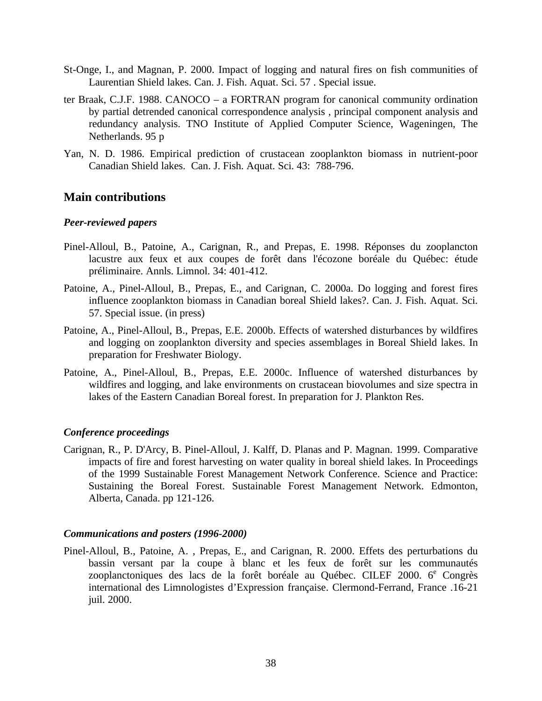- St-Onge, I., and Magnan, P. 2000. Impact of logging and natural fires on fish communities of Laurentian Shield lakes. Can. J. Fish. Aquat. Sci. 57 . Special issue.
- ter Braak, C.J.F. 1988. CANOCO a FORTRAN program for canonical community ordination by partial detrended canonical correspondence analysis , principal component analysis and redundancy analysis. TNO Institute of Applied Computer Science, Wageningen, The Netherlands. 95 p
- Yan, N. D. 1986. Empirical prediction of crustacean zooplankton biomass in nutrient-poor Canadian Shield lakes. Can. J. Fish. Aquat. Sci. 43: 788-796.

# **Main contributions**

#### *Peer-reviewed papers*

- Pinel-Alloul, B., Patoine, A., Carignan, R., and Prepas, E. 1998. Réponses du zooplancton lacustre aux feux et aux coupes de forêt dans l'écozone boréale du Québec: étude préliminaire. Annls. Limnol. 34: 401-412.
- Patoine, A., Pinel-Alloul, B., Prepas, E., and Carignan, C. 2000a. Do logging and forest fires influence zooplankton biomass in Canadian boreal Shield lakes?. Can. J. Fish. Aquat. Sci. 57. Special issue. (in press)
- Patoine, A., Pinel-Alloul, B., Prepas, E.E. 2000b. Effects of watershed disturbances by wildfires and logging on zooplankton diversity and species assemblages in Boreal Shield lakes. In preparation for Freshwater Biology.
- Patoine, A., Pinel-Alloul, B., Prepas, E.E. 2000c. Influence of watershed disturbances by wildfires and logging, and lake environments on crustacean biovolumes and size spectra in lakes of the Eastern Canadian Boreal forest. In preparation for J. Plankton Res.

#### *Conference proceedings*

Carignan, R., P. D'Arcy, B. Pinel-Alloul, J. Kalff, D. Planas and P. Magnan. 1999. Comparative impacts of fire and forest harvesting on water quality in boreal shield lakes. In Proceedings of the 1999 Sustainable Forest Management Network Conference. Science and Practice: Sustaining the Boreal Forest. Sustainable Forest Management Network. Edmonton, Alberta, Canada. pp 121-126.

#### *Communications and posters (1996-2000)*

Pinel-Alloul, B., Patoine, A. , Prepas, E., and Carignan, R. 2000. Effets des perturbations du bassin versant par la coupe à blanc et les feux de forêt sur les communautés zooplanctoniques des lacs de la forêt boréale au Québec. CILEF  $2000$ .  $6^e$  Congrès international des Limnologistes d'Expression française. Clermond-Ferrand, France .16-21 juil. 2000.